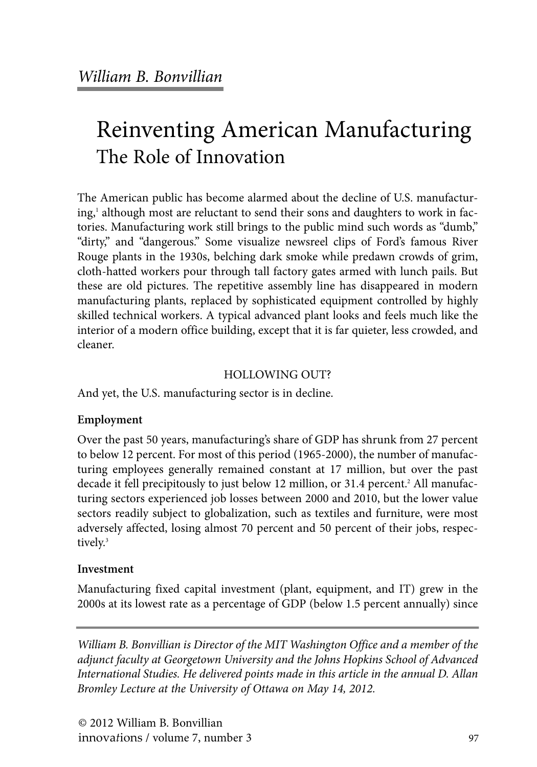# Reinventing American Manufacturing The Role of Innovation

The American public has become alarmed about the decline of U.S. manufacturing,<sup>1</sup> although most are reluctant to send their sons and daughters to work in factories. Manufacturing work still brings to the public mind such words as "dumb," "dirty," and "dangerous." Some visualize newsreel clips of Ford's famous River Rouge plants in the 1930s, belching dark smoke while predawn crowds of grim, cloth-hatted workers pour through tall factory gates armed with lunch pails. But these are old pictures. The repetitive assembly line has disappeared in modern manufacturing plants, replaced by sophisticated equipment controlled by highly skilled technical workers. A typical advanced plant looks and feels much like the interior of a modern office building, except that it is far quieter, less crowded, and cleaner.

## HOLLOWING OUT?

And yet, the U.S. manufacturing sector is in decline.

## **Employment**

Over the past 50 years, manufacturing's share of GDP has shrunk from 27 percent to below 12 percent. For most of this period (1965-2000), the number of manufacturing employees generally remained constant at 17 million, but over the past decade it fell precipitously to just below 12 million, or  $31.4$  percent.<sup>2</sup> All manufacturing sectors experienced job losses between 2000 and 2010, but the lower value sectors readily subject to globalization, such as textiles and furniture, were most adversely affected, losing almost 70 percent and 50 percent of their jobs, respectively.<sup>3</sup>

## **Investment**

Manufacturing fixed capital investment (plant, equipment, and IT) grew in the 2000s at its lowest rate as a percentage of GDP (below 1.5 percent annually) since

*William B. Bonvillian is Director of the MIT Washington Office and a member of the adjunct faculty at Georgetown University and the Johns Hopkins School of Advanced International Studies. He delivered points made in this article in the annual D. Allan Bromley Lecture at the University of Ottawa on May 14, 2012.*

© 2012 William B. Bonvillian innovations / volume 7, number 3 97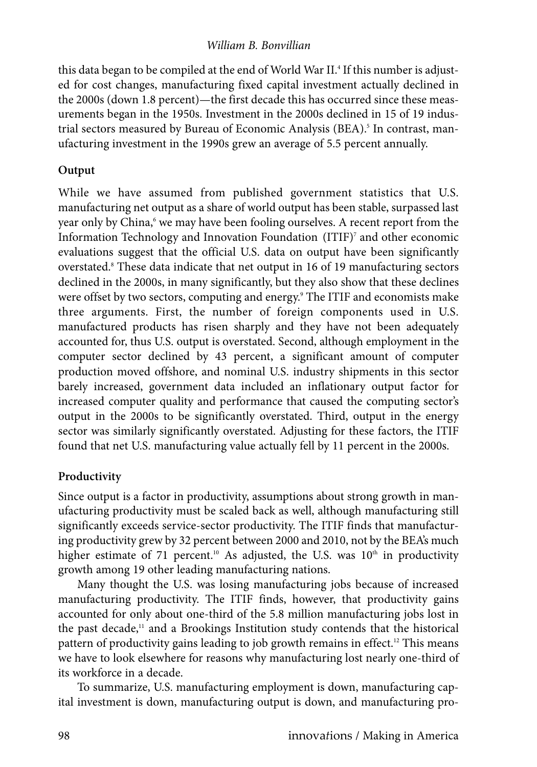this data began to be compiled at the end of World War II.<sup>4</sup> If this number is adjusted for cost changes, manufacturing fixed capital investment actually declined in the 2000s (down 1.8 percent)—the first decade this has occurred since these measurements began in the 1950s. Investment in the 2000s declined in 15 of 19 industrial sectors measured by Bureau of Economic Analysis (BEA).<sup>5</sup> In contrast, manufacturing investment in the 1990s grew an average of 5.5 percent annually.

### **Output**

While we have assumed from published government statistics that U.S. manufacturing net output as a share of world output has been stable, surpassed last year only by China,<sup>6</sup> we may have been fooling ourselves. A recent report from the Information Technology and Innovation Foundation (ITIF)<sup>7</sup> and other economic evaluations suggest that the official U.S. data on output have been significantly overstated.8 These data indicate that net output in 16 of 19 manufacturing sectors declined in the 2000s, in many significantly, but they also show that these declines were offset by two sectors, computing and energy.<sup>9</sup> The ITIF and economists make three arguments. First, the number of foreign components used in U.S. manufactured products has risen sharply and they have not been adequately accounted for, thus U.S. output is overstated. Second, although employment in the computer sector declined by 43 percent, a significant amount of computer production moved offshore, and nominal U.S. industry shipments in this sector barely increased, government data included an inflationary output factor for increased computer quality and performance that caused the computing sector's output in the 2000s to be significantly overstated. Third, output in the energy sector was similarly significantly overstated. Adjusting for these factors, the ITIF found that net U.S. manufacturing value actually fell by 11 percent in the 2000s.

#### **Productivity**

Since output is a factor in productivity, assumptions about strong growth in manufacturing productivity must be scaled back as well, although manufacturing still significantly exceeds service-sector productivity. The ITIF finds that manufacturing productivity grew by 32 percent between 2000 and 2010, not by the BEA's much higher estimate of 71 percent.<sup>10</sup> As adjusted, the U.S. was 10<sup>th</sup> in productivity growth among 19 other leading manufacturing nations.

Many thought the U.S. was losing manufacturing jobs because of increased manufacturing productivity. The ITIF finds, however, that productivity gains accounted for only about one-third of the 5.8 million manufacturing jobs lost in the past decade,<sup>11</sup> and a Brookings Institution study contends that the historical pattern of productivity gains leading to job growth remains in effect.<sup>12</sup> This means we have to look elsewhere for reasons why manufacturing lost nearly one-third of its workforce in a decade.

To summarize, U.S. manufacturing employment is down, manufacturing capital investment is down, manufacturing output is down, and manufacturing pro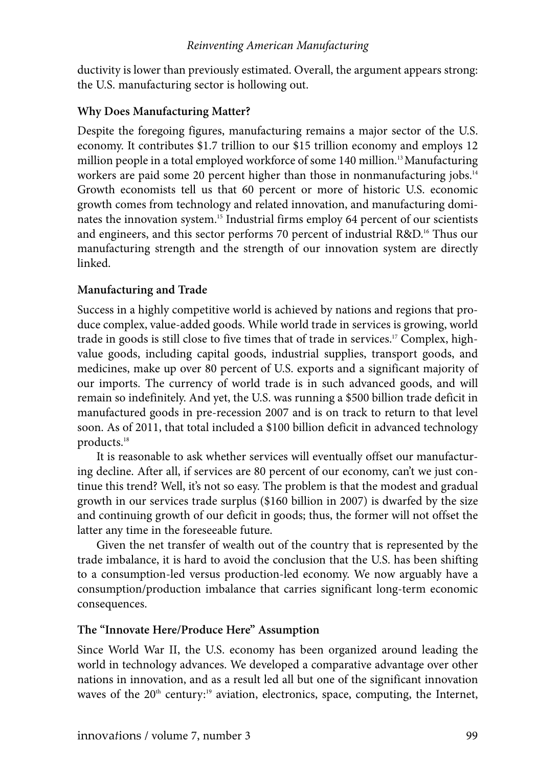ductivity is lower than previously estimated. Overall, the argument appears strong: the U.S. manufacturing sector is hollowing out.

## **Why Does Manufacturing Matter?**

Despite the foregoing figures, manufacturing remains a major sector of the U.S. economy. It contributes \$1.7 trillion to our \$15 trillion economy and employs 12 million people in a total employed workforce of some 140 million.<sup>13</sup> Manufacturing workers are paid some 20 percent higher than those in nonmanufacturing jobs.<sup>14</sup> Growth economists tell us that 60 percent or more of historic U.S. economic growth comes from technology and related innovation, and manufacturing dominates the innovation system.15 Industrial firms employ 64 percent of our scientists and engineers, and this sector performs 70 percent of industrial R&D.16 Thus our manufacturing strength and the strength of our innovation system are directly linked.

# **Manufacturing and Trade**

Success in a highly competitive world is achieved by nations and regions that produce complex, value-added goods. While world trade in services is growing, world trade in goods is still close to five times that of trade in services.<sup>17</sup> Complex, highvalue goods, including capital goods, industrial supplies, transport goods, and medicines, make up over 80 percent of U.S. exports and a significant majority of our imports. The currency of world trade is in such advanced goods, and will remain so indefinitely. And yet, the U.S. was running a \$500 billion trade deficit in manufactured goods in pre-recession 2007 and is on track to return to that level soon. As of 2011, that total included a \$100 billion deficit in advanced technology products.18

It is reasonable to ask whether services will eventually offset our manufacturing decline. After all, if services are 80 percent of our economy, can't we just continue this trend? Well, it's not so easy. The problem is that the modest and gradual growth in our services trade surplus (\$160 billion in 2007) is dwarfed by the size and continuing growth of our deficit in goods; thus, the former will not offset the latter any time in the foreseeable future.

Given the net transfer of wealth out of the country that is represented by the trade imbalance, it is hard to avoid the conclusion that the U.S. has been shifting to a consumption-led versus production-led economy. We now arguably have a consumption/production imbalance that carries significant long-term economic consequences.

# **The "Innovate Here/Produce Here" Assumption**

Since World War II, the U.S. economy has been organized around leading the world in technology advances. We developed a comparative advantage over other nations in innovation, and as a result led all but one of the significant innovation waves of the  $20<sup>th</sup>$  century:<sup>19</sup> aviation, electronics, space, computing, the Internet,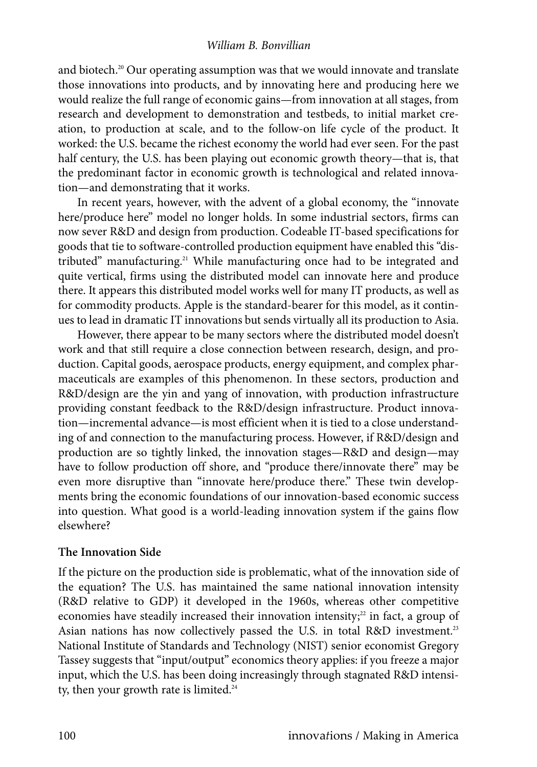and biotech.<sup>20</sup> Our operating assumption was that we would innovate and translate those innovations into products, and by innovating here and producing here we would realize the full range of economic gains—from innovation at all stages, from research and development to demonstration and testbeds, to initial market creation, to production at scale, and to the follow-on life cycle of the product. It worked: the U.S. became the richest economy the world had ever seen. For the past half century, the U.S. has been playing out economic growth theory—that is, that the predominant factor in economic growth is technological and related innovation—and demonstrating that it works.

In recent years, however, with the advent of a global economy, the "innovate here/produce here" model no longer holds. In some industrial sectors, firms can now sever R&D and design from production. Codeable IT-based specifications for goods that tie to software-controlled production equipment have enabled this "distributed" manufacturing.<sup>21</sup> While manufacturing once had to be integrated and quite vertical, firms using the distributed model can innovate here and produce there. It appears this distributed model works well for many IT products, as well as for commodity products. Apple is the standard-bearer for this model, as it continues to lead in dramatic IT innovations but sends virtually all its production to Asia.

However, there appear to be many sectors where the distributed model doesn't work and that still require a close connection between research, design, and production. Capital goods, aerospace products, energy equipment, and complex pharmaceuticals are examples of this phenomenon. In these sectors, production and R&D/design are the yin and yang of innovation, with production infrastructure providing constant feedback to the R&D/design infrastructure. Product innovation—incremental advance—is most efficient when it is tied to a close understanding of and connection to the manufacturing process. However, if R&D/design and production are so tightly linked, the innovation stages—R&D and design—may have to follow production off shore, and "produce there/innovate there" may be even more disruptive than "innovate here/produce there." These twin developments bring the economic foundations of our innovation-based economic success into question. What good is a world-leading innovation system if the gains flow elsewhere?

## **The Innovation Side**

If the picture on the production side is problematic, what of the innovation side of the equation? The U.S. has maintained the same national innovation intensity (R&D relative to GDP) it developed in the 1960s, whereas other competitive economies have steadily increased their innovation intensity; $2^{2}$  in fact, a group of Asian nations has now collectively passed the U.S. in total R&D investment.<sup>23</sup> National Institute of Standards and Technology (NIST) senior economist Gregory Tassey suggests that "input/output" economics theory applies: if you freeze a major input, which the U.S. has been doing increasingly through stagnated R&D intensity, then your growth rate is limited. $24$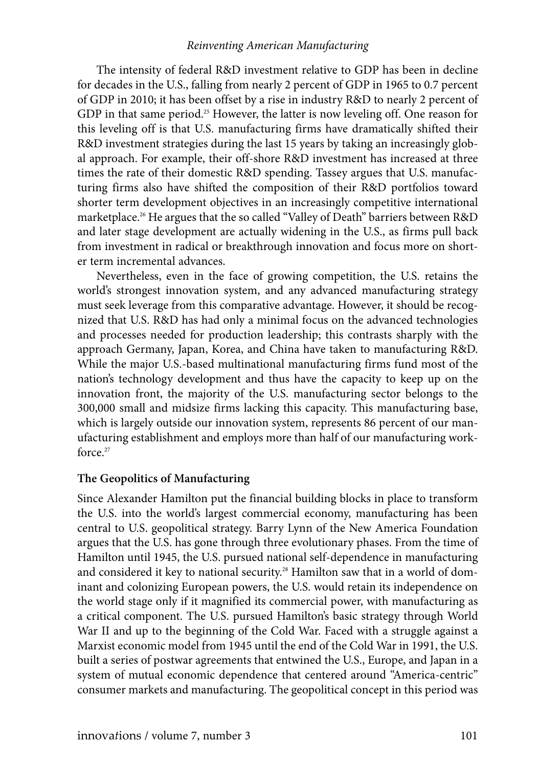The intensity of federal R&D investment relative to GDP has been in decline for decades in the U.S., falling from nearly 2 percent of GDP in 1965 to 0.7 percent of GDP in 2010; it has been offset by a rise in industry R&D to nearly 2 percent of GDP in that same period.<sup>25</sup> However, the latter is now leveling off. One reason for this leveling off is that U.S. manufacturing firms have dramatically shifted their R&D investment strategies during the last 15 years by taking an increasingly global approach. For example, their off-shore R&D investment has increased at three times the rate of their domestic R&D spending. Tassey argues that U.S. manufacturing firms also have shifted the composition of their R&D portfolios toward shorter term development objectives in an increasingly competitive international marketplace.<sup>26</sup> He argues that the so called "Valley of Death" barriers between R&D and later stage development are actually widening in the U.S., as firms pull back from investment in radical or breakthrough innovation and focus more on shorter term incremental advances.

Nevertheless, even in the face of growing competition, the U.S. retains the world's strongest innovation system, and any advanced manufacturing strategy must seek leverage from this comparative advantage. However, it should be recognized that U.S. R&D has had only a minimal focus on the advanced technologies and processes needed for production leadership; this contrasts sharply with the approach Germany, Japan, Korea, and China have taken to manufacturing R&D. While the major U.S.-based multinational manufacturing firms fund most of the nation's technology development and thus have the capacity to keep up on the innovation front, the majority of the U.S. manufacturing sector belongs to the 300,000 small and midsize firms lacking this capacity. This manufacturing base, which is largely outside our innovation system, represents 86 percent of our manufacturing establishment and employs more than half of our manufacturing workforce.<sup>27</sup>

## **The Geopolitics of Manufacturing**

Since Alexander Hamilton put the financial building blocks in place to transform the U.S. into the world's largest commercial economy, manufacturing has been central to U.S. geopolitical strategy. Barry Lynn of the New America Foundation argues that the U.S. has gone through three evolutionary phases. From the time of Hamilton until 1945, the U.S. pursued national self-dependence in manufacturing and considered it key to national security.<sup>28</sup> Hamilton saw that in a world of dominant and colonizing European powers, the U.S. would retain its independence on the world stage only if it magnified its commercial power, with manufacturing as a critical component. The U.S. pursued Hamilton's basic strategy through World War II and up to the beginning of the Cold War. Faced with a struggle against a Marxist economic model from 1945 until the end of the Cold War in 1991, the U.S. built a series of postwar agreements that entwined the U.S., Europe, and Japan in a system of mutual economic dependence that centered around "America-centric" consumer markets and manufacturing. The geopolitical concept in this period was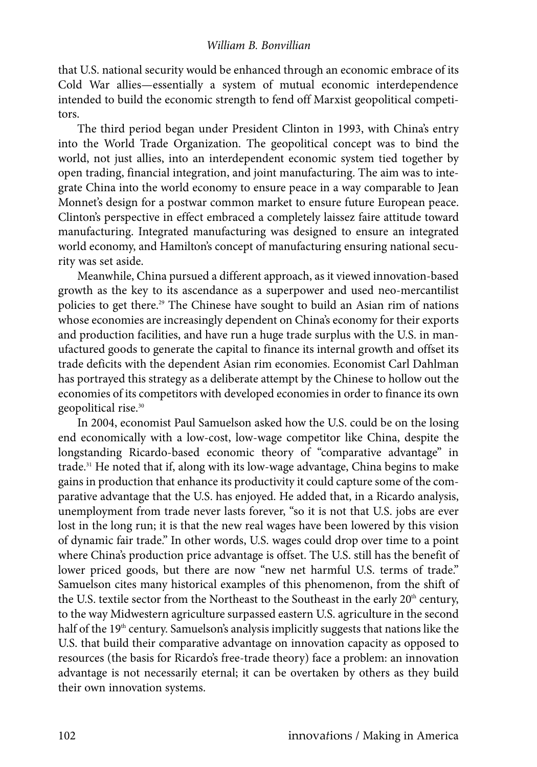that U.S. national security would be enhanced through an economic embrace of its Cold War allies—essentially a system of mutual economic interdependence intended to build the economic strength to fend off Marxist geopolitical competitors.

The third period began under President Clinton in 1993, with China's entry into the World Trade Organization. The geopolitical concept was to bind the world, not just allies, into an interdependent economic system tied together by open trading, financial integration, and joint manufacturing. The aim was to integrate China into the world economy to ensure peace in a way comparable to Jean Monnet's design for a postwar common market to ensure future European peace. Clinton's perspective in effect embraced a completely laissez faire attitude toward manufacturing. Integrated manufacturing was designed to ensure an integrated world economy, and Hamilton's concept of manufacturing ensuring national security was set aside.

Meanwhile, China pursued a different approach, as it viewed innovation-based growth as the key to its ascendance as a superpower and used neo-mercantilist policies to get there.<sup>29</sup> The Chinese have sought to build an Asian rim of nations whose economies are increasingly dependent on China's economy for their exports and production facilities, and have run a huge trade surplus with the U.S. in manufactured goods to generate the capital to finance its internal growth and offset its trade deficits with the dependent Asian rim economies. Economist Carl Dahlman has portrayed this strategy as a deliberate attempt by the Chinese to hollow out the economies of its competitors with developed economies in order to finance its own geopolitical rise.30

In 2004, economist Paul Samuelson asked how the U.S. could be on the losing end economically with a low-cost, low-wage competitor like China, despite the longstanding Ricardo-based economic theory of "comparative advantage" in trade.<sup>31</sup> He noted that if, along with its low-wage advantage, China begins to make gains in production that enhance its productivity it could capture some of the comparative advantage that the U.S. has enjoyed. He added that, in a Ricardo analysis, unemployment from trade never lasts forever, "so it is not that U.S. jobs are ever lost in the long run; it is that the new real wages have been lowered by this vision of dynamic fair trade." In other words, U.S. wages could drop over time to a point where China's production price advantage is offset. The U.S. still has the benefit of lower priced goods, but there are now "new net harmful U.S. terms of trade." Samuelson cites many historical examples of this phenomenon, from the shift of the U.S. textile sector from the Northeast to the Southeast in the early  $20<sup>th</sup>$  century, to the way Midwestern agriculture surpassed eastern U.S. agriculture in the second half of the 19<sup>th</sup> century. Samuelson's analysis implicitly suggests that nations like the U.S. that build their comparative advantage on innovation capacity as opposed to resources (the basis for Ricardo's free-trade theory) face a problem: an innovation advantage is not necessarily eternal; it can be overtaken by others as they build their own innovation systems.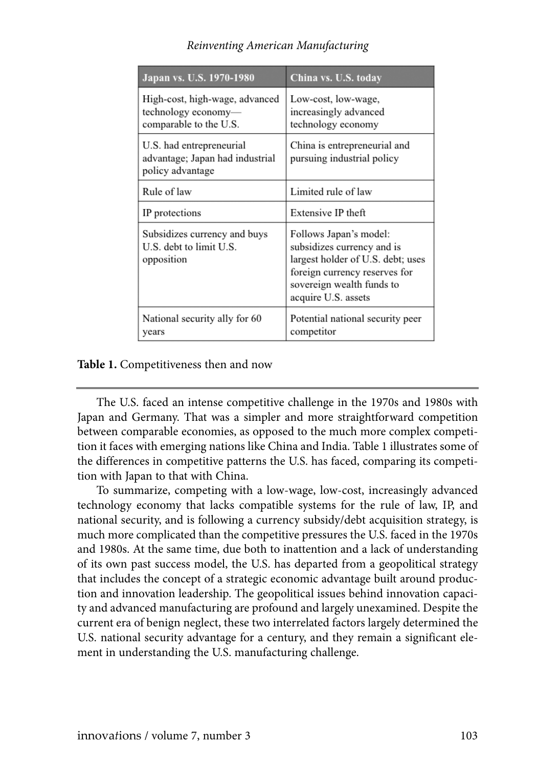| Japan vs. U.S. 1970-1980                                                        | China vs. U.S. today                                                                                                                                                           |  |  |  |
|---------------------------------------------------------------------------------|--------------------------------------------------------------------------------------------------------------------------------------------------------------------------------|--|--|--|
| High-cost, high-wage, advanced<br>technology economy-<br>comparable to the U.S. | Low-cost, low-wage,<br>increasingly advanced<br>technology economy                                                                                                             |  |  |  |
| U.S. had entrepreneurial<br>advantage; Japan had industrial<br>policy advantage | China is entrepreneurial and<br>pursuing industrial policy                                                                                                                     |  |  |  |
| Rule of law                                                                     | Limited rule of law                                                                                                                                                            |  |  |  |
| IP protections                                                                  | Extensive IP theft                                                                                                                                                             |  |  |  |
| Subsidizes currency and buys<br>U.S. debt to limit U.S.<br>opposition           | Follows Japan's model:<br>subsidizes currency and is<br>largest holder of U.S. debt; uses<br>foreign currency reserves for<br>sovereign wealth funds to<br>acquire U.S. assets |  |  |  |
| National security ally for 60<br>years                                          | Potential national security peer<br>competitor                                                                                                                                 |  |  |  |

*Reinventing American Manufacturing*

#### **Table 1.** Competitiveness then and now

The U.S. faced an intense competitive challenge in the 1970s and 1980s with Japan and Germany. That was a simpler and more straightforward competition between comparable economies, as opposed to the much more complex competition it faces with emerging nations like China and India. Table 1 illustrates some of the differences in competitive patterns the U.S. has faced, comparing its competition with Japan to that with China.

To summarize, competing with a low-wage, low-cost, increasingly advanced technology economy that lacks compatible systems for the rule of law, IP, and national security, and is following a currency subsidy/debt acquisition strategy, is much more complicated than the competitive pressures the U.S. faced in the 1970s and 1980s. At the same time, due both to inattention and a lack of understanding of its own past success model, the U.S. has departed from a geopolitical strategy that includes the concept of a strategic economic advantage built around production and innovation leadership. The geopolitical issues behind innovation capacity and advanced manufacturing are profound and largely unexamined. Despite the current era of benign neglect, these two interrelated factors largely determined the U.S. national security advantage for a century, and they remain a significant element in understanding the U.S. manufacturing challenge.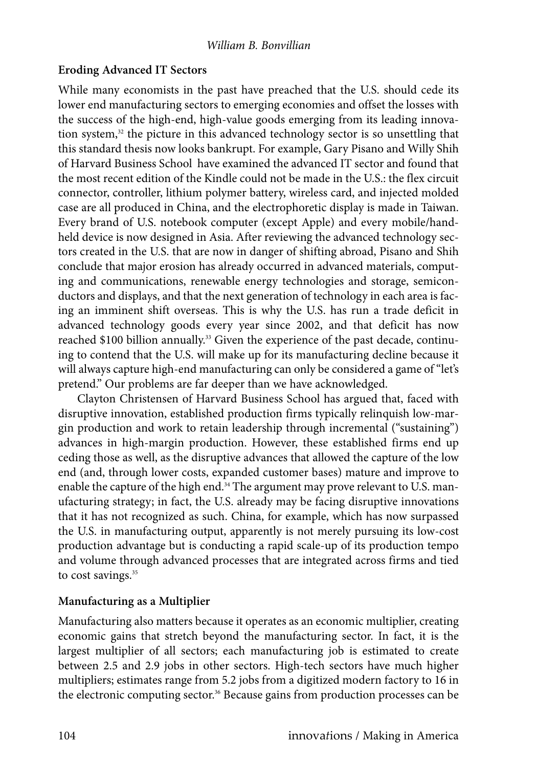## **Eroding Advanced IT Sectors**

While many economists in the past have preached that the U.S. should cede its lower end manufacturing sectors to emerging economies and offset the losses with the success of the high-end, high-value goods emerging from its leading innovation system,<sup>32</sup> the picture in this advanced technology sector is so unsettling that this standard thesis now looks bankrupt. For example, Gary Pisano and Willy Shih of Harvard Business School have examined the advanced IT sector and found that the most recent edition of the Kindle could not be made in the U.S.: the flex circuit connector, controller, lithium polymer battery, wireless card, and injected molded case are all produced in China, and the electrophoretic display is made in Taiwan. Every brand of U.S. notebook computer (except Apple) and every mobile/handheld device is now designed in Asia. After reviewing the advanced technology sectors created in the U.S. that are now in danger of shifting abroad, Pisano and Shih conclude that major erosion has already occurred in advanced materials, computing and communications, renewable energy technologies and storage, semiconductors and displays, and that the next generation of technology in each area is facing an imminent shift overseas. This is why the U.S. has run a trade deficit in advanced technology goods every year since 2002, and that deficit has now reached \$100 billion annually.<sup>33</sup> Given the experience of the past decade, continuing to contend that the U.S. will make up for its manufacturing decline because it will always capture high-end manufacturing can only be considered a game of "let's pretend." Our problems are far deeper than we have acknowledged.

Clayton Christensen of Harvard Business School has argued that, faced with disruptive innovation, established production firms typically relinquish low-margin production and work to retain leadership through incremental ("sustaining") advances in high-margin production. However, these established firms end up ceding those as well, as the disruptive advances that allowed the capture of the low end (and, through lower costs, expanded customer bases) mature and improve to enable the capture of the high end.<sup>34</sup> The argument may prove relevant to U.S. manufacturing strategy; in fact, the U.S. already may be facing disruptive innovations that it has not recognized as such. China, for example, which has now surpassed the U.S. in manufacturing output, apparently is not merely pursuing its low-cost production advantage but is conducting a rapid scale-up of its production tempo and volume through advanced processes that are integrated across firms and tied to cost savings.<sup>35</sup>

# **Manufacturing as a Multiplier**

Manufacturing also matters because it operates as an economic multiplier, creating economic gains that stretch beyond the manufacturing sector. In fact, it is the largest multiplier of all sectors; each manufacturing job is estimated to create between 2.5 and 2.9 jobs in other sectors. High-tech sectors have much higher multipliers; estimates range from 5.2 jobs from a digitized modern factory to 16 in the electronic computing sector.<sup>36</sup> Because gains from production processes can be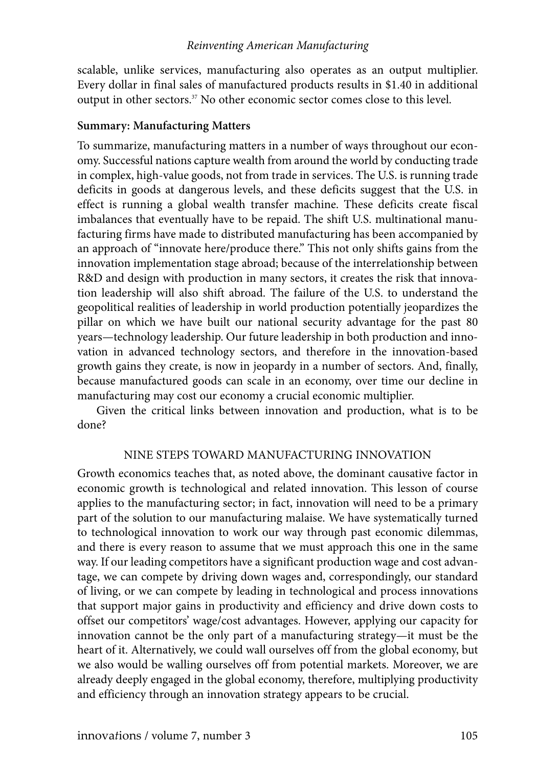scalable, unlike services, manufacturing also operates as an output multiplier. Every dollar in final sales of manufactured products results in \$1.40 in additional output in other sectors.<sup>37</sup> No other economic sector comes close to this level.

## **Summary: Manufacturing Matters**

To summarize, manufacturing matters in a number of ways throughout our economy. Successful nations capture wealth from around the world by conducting trade in complex, high-value goods, not from trade in services. The U.S. is running trade deficits in goods at dangerous levels, and these deficits suggest that the U.S. in effect is running a global wealth transfer machine. These deficits create fiscal imbalances that eventually have to be repaid. The shift U.S. multinational manufacturing firms have made to distributed manufacturing has been accompanied by an approach of "innovate here/produce there." This not only shifts gains from the innovation implementation stage abroad; because of the interrelationship between R&D and design with production in many sectors, it creates the risk that innovation leadership will also shift abroad. The failure of the U.S. to understand the geopolitical realities of leadership in world production potentially jeopardizes the pillar on which we have built our national security advantage for the past 80 years—technology leadership. Our future leadership in both production and innovation in advanced technology sectors, and therefore in the innovation-based growth gains they create, is now in jeopardy in a number of sectors. And, finally, because manufactured goods can scale in an economy, over time our decline in manufacturing may cost our economy a crucial economic multiplier.

Given the critical links between innovation and production, what is to be done?

## NINE STEPS TOWARD MANUFACTURING INNOVATION

Growth economics teaches that, as noted above, the dominant causative factor in economic growth is technological and related innovation. This lesson of course applies to the manufacturing sector; in fact, innovation will need to be a primary part of the solution to our manufacturing malaise. We have systematically turned to technological innovation to work our way through past economic dilemmas, and there is every reason to assume that we must approach this one in the same way. If our leading competitors have a significant production wage and cost advantage, we can compete by driving down wages and, correspondingly, our standard of living, or we can compete by leading in technological and process innovations that support major gains in productivity and efficiency and drive down costs to offset our competitors' wage/cost advantages. However, applying our capacity for innovation cannot be the only part of a manufacturing strategy—it must be the heart of it. Alternatively, we could wall ourselves off from the global economy, but we also would be walling ourselves off from potential markets. Moreover, we are already deeply engaged in the global economy, therefore, multiplying productivity and efficiency through an innovation strategy appears to be crucial.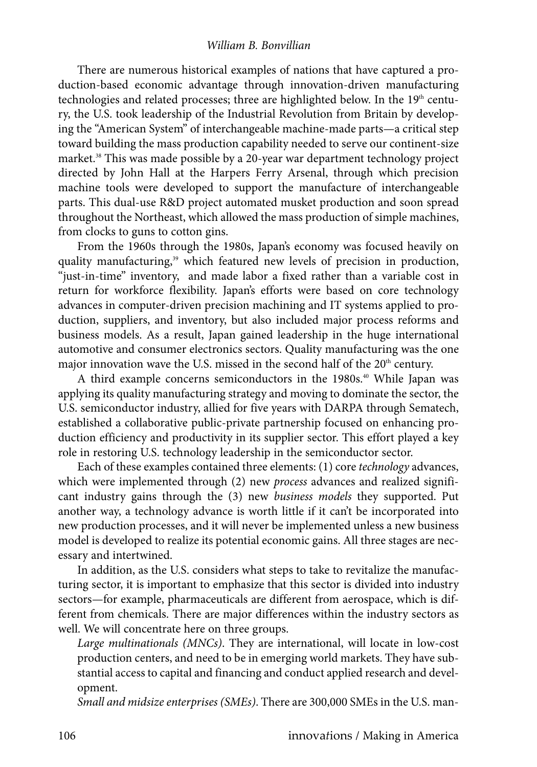There are numerous historical examples of nations that have captured a production-based economic advantage through innovation-driven manufacturing technologies and related processes; three are highlighted below. In the 19<sup>th</sup> century, the U.S. took leadership of the Industrial Revolution from Britain by developing the "American System" of interchangeable machine-made parts—a critical step toward building the mass production capability needed to serve our continent-size market.38 This was made possible by a 20-year war department technology project directed by John Hall at the Harpers Ferry Arsenal, through which precision machine tools were developed to support the manufacture of interchangeable parts. This dual-use R&D project automated musket production and soon spread throughout the Northeast, which allowed the mass production of simple machines, from clocks to guns to cotton gins.

From the 1960s through the 1980s, Japan's economy was focused heavily on quality manufacturing,<sup>39</sup> which featured new levels of precision in production, "just-in-time" inventory, and made labor a fixed rather than a variable cost in return for workforce flexibility. Japan's efforts were based on core technology advances in computer-driven precision machining and IT systems applied to production, suppliers, and inventory, but also included major process reforms and business models. As a result, Japan gained leadership in the huge international automotive and consumer electronics sectors. Quality manufacturing was the one major innovation wave the U.S. missed in the second half of the  $20<sup>th</sup>$  century.

A third example concerns semiconductors in the 1980s.<sup>40</sup> While Japan was applying its quality manufacturing strategy and moving to dominate the sector, the U.S. semiconductor industry, allied for five years with DARPA through Sematech, established a collaborative public-private partnership focused on enhancing production efficiency and productivity in its supplier sector. This effort played a key role in restoring U.S. technology leadership in the semiconductor sector.

Each of these examples contained three elements: (1) core *technology* advances, which were implemented through (2) new *process* advances and realized significant industry gains through the (3) new *business models* they supported. Put another way, a technology advance is worth little if it can't be incorporated into new production processes, and it will never be implemented unless a new business model is developed to realize its potential economic gains. All three stages are necessary and intertwined.

In addition, as the U.S. considers what steps to take to revitalize the manufacturing sector, it is important to emphasize that this sector is divided into industry sectors—for example, pharmaceuticals are different from aerospace, which is different from chemicals. There are major differences within the industry sectors as well. We will concentrate here on three groups.

*Large multinationals (MNCs)*. They are international, will locate in low-cost production centers, and need to be in emerging world markets. They have substantial access to capital and financing and conduct applied research and development.

*Small and midsize enterprises (SMEs)*. There are 300,000 SMEs in the U.S. man-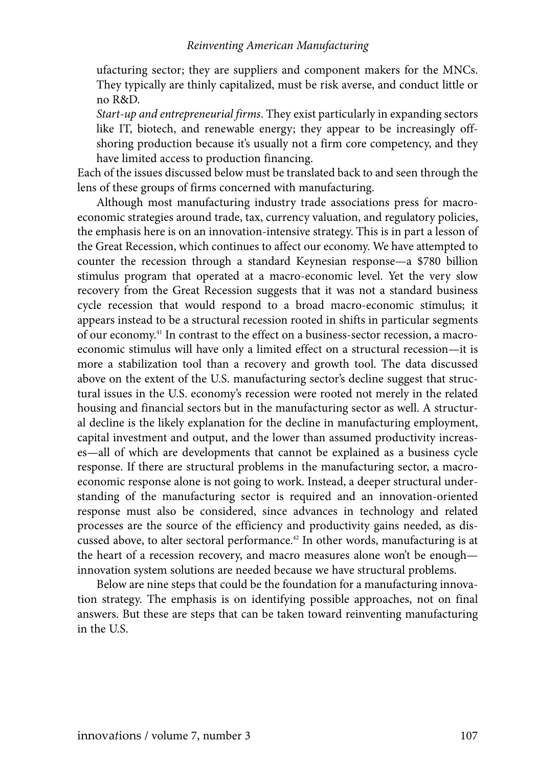ufacturing sector; they are suppliers and component makers for the MNCs. They typically are thinly capitalized, must be risk averse, and conduct little or no R&D.

*Start-up and entrepreneurial firms*. They exist particularly in expanding sectors like IT, biotech, and renewable energy; they appear to be increasingly offshoring production because it's usually not a firm core competency, and they have limited access to production financing.

Each of the issues discussed below must be translated back to and seen through the lens of these groups of firms concerned with manufacturing.

Although most manufacturing industry trade associations press for macroeconomic strategies around trade, tax, currency valuation, and regulatory policies, the emphasis here is on an innovation-intensive strategy. This is in part a lesson of the Great Recession, which continues to affect our economy. We have attempted to counter the recession through a standard Keynesian response—a \$780 billion stimulus program that operated at a macro-economic level. Yet the very slow recovery from the Great Recession suggests that it was not a standard business cycle recession that would respond to a broad macro-economic stimulus; it appears instead to be a structural recession rooted in shifts in particular segments of our economy.41 In contrast to the effect on a business-sector recession, a macroeconomic stimulus will have only a limited effect on a structural recession—it is more a stabilization tool than a recovery and growth tool. The data discussed above on the extent of the U.S. manufacturing sector's decline suggest that structural issues in the U.S. economy's recession were rooted not merely in the related housing and financial sectors but in the manufacturing sector as well. A structural decline is the likely explanation for the decline in manufacturing employment, capital investment and output, and the lower than assumed productivity increases—all of which are developments that cannot be explained as a business cycle response. If there are structural problems in the manufacturing sector, a macroeconomic response alone is not going to work. Instead, a deeper structural understanding of the manufacturing sector is required and an innovation-oriented response must also be considered, since advances in technology and related processes are the source of the efficiency and productivity gains needed, as discussed above, to alter sectoral performance.<sup>42</sup> In other words, manufacturing is at the heart of a recession recovery, and macro measures alone won't be enough innovation system solutions are needed because we have structural problems.

Below are nine steps that could be the foundation for a manufacturing innovation strategy. The emphasis is on identifying possible approaches, not on final answers. But these are steps that can be taken toward reinventing manufacturing in the U.S.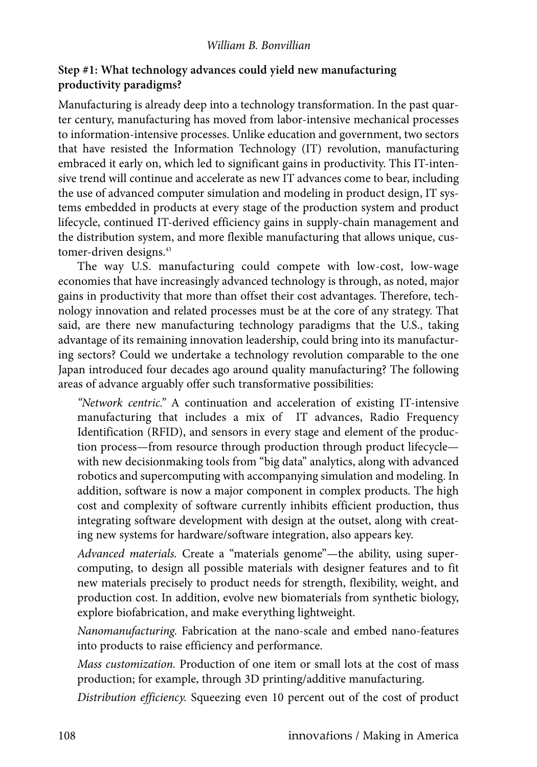## **Step #1: What technology advances could yield new manufacturing productivity paradigms?**

Manufacturing is already deep into a technology transformation. In the past quarter century, manufacturing has moved from labor-intensive mechanical processes to information-intensive processes. Unlike education and government, two sectors that have resisted the Information Technology (IT) revolution, manufacturing embraced it early on, which led to significant gains in productivity. This IT-intensive trend will continue and accelerate as new IT advances come to bear, including the use of advanced computer simulation and modeling in product design, IT systems embedded in products at every stage of the production system and product lifecycle, continued IT-derived efficiency gains in supply-chain management and the distribution system, and more flexible manufacturing that allows unique, customer-driven designs.<sup>43</sup>

The way U.S. manufacturing could compete with low-cost, low-wage economies that have increasingly advanced technology is through, as noted, major gains in productivity that more than offset their cost advantages. Therefore, technology innovation and related processes must be at the core of any strategy. That said, are there new manufacturing technology paradigms that the U.S., taking advantage of its remaining innovation leadership, could bring into its manufacturing sectors? Could we undertake a technology revolution comparable to the one Japan introduced four decades ago around quality manufacturing? The following areas of advance arguably offer such transformative possibilities:

*"Network centric."* A continuation and acceleration of existing IT-intensive manufacturing that includes a mix of IT advances, Radio Frequency Identification (RFID), and sensors in every stage and element of the production process—from resource through production through product lifecycle with new decisionmaking tools from "big data" analytics, along with advanced robotics and supercomputing with accompanying simulation and modeling. In addition, software is now a major component in complex products. The high cost and complexity of software currently inhibits efficient production, thus integrating software development with design at the outset, along with creating new systems for hardware/software integration, also appears key.

*Advanced materials.* Create a "materials genome"—the ability, using supercomputing, to design all possible materials with designer features and to fit new materials precisely to product needs for strength, flexibility, weight, and production cost. In addition, evolve new biomaterials from synthetic biology, explore biofabrication, and make everything lightweight.

*Nanomanufacturing.* Fabrication at the nano-scale and embed nano-features into products to raise efficiency and performance.

*Mass customization.* Production of one item or small lots at the cost of mass production; for example, through 3D printing/additive manufacturing.

*Distribution efficiency.* Squeezing even 10 percent out of the cost of product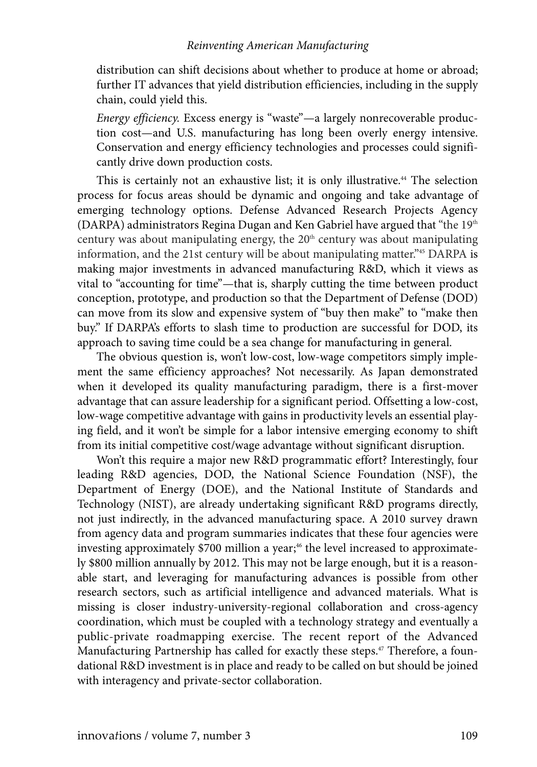distribution can shift decisions about whether to produce at home or abroad; further IT advances that yield distribution efficiencies, including in the supply chain, could yield this.

*Energy efficiency.* Excess energy is "waste"—a largely nonrecoverable production cost—and U.S. manufacturing has long been overly energy intensive. Conservation and energy efficiency technologies and processes could significantly drive down production costs.

This is certainly not an exhaustive list; it is only illustrative.<sup>44</sup> The selection process for focus areas should be dynamic and ongoing and take advantage of emerging technology options. Defense Advanced Research Projects Agency (DARPA) administrators Regina Dugan and Ken Gabriel have argued that "the  $19<sup>th</sup>$ century was about manipulating energy, the  $20<sup>th</sup>$  century was about manipulating information, and the 21st century will be about manipulating matter."45 DARPA is making major investments in advanced manufacturing R&D, which it views as vital to "accounting for time"—that is, sharply cutting the time between product conception, prototype, and production so that the Department of Defense (DOD) can move from its slow and expensive system of "buy then make" to "make then buy." If DARPA's efforts to slash time to production are successful for DOD, its approach to saving time could be a sea change for manufacturing in general.

The obvious question is, won't low-cost, low-wage competitors simply implement the same efficiency approaches? Not necessarily. As Japan demonstrated when it developed its quality manufacturing paradigm, there is a first-mover advantage that can assure leadership for a significant period. Offsetting a low-cost, low-wage competitive advantage with gains in productivity levels an essential playing field, and it won't be simple for a labor intensive emerging economy to shift from its initial competitive cost/wage advantage without significant disruption.

Won't this require a major new R&D programmatic effort? Interestingly, four leading R&D agencies, DOD, the National Science Foundation (NSF), the Department of Energy (DOE), and the National Institute of Standards and Technology (NIST), are already undertaking significant R&D programs directly, not just indirectly, in the advanced manufacturing space. A 2010 survey drawn from agency data and program summaries indicates that these four agencies were investing approximately  $$700$  million a year;<sup>46</sup> the level increased to approximately \$800 million annually by 2012. This may not be large enough, but it is a reasonable start, and leveraging for manufacturing advances is possible from other research sectors, such as artificial intelligence and advanced materials. What is missing is closer industry-university-regional collaboration and cross-agency coordination, which must be coupled with a technology strategy and eventually a public-private roadmapping exercise. The recent report of the Advanced Manufacturing Partnership has called for exactly these steps.<sup>47</sup> Therefore, a foundational R&D investment is in place and ready to be called on but should be joined with interagency and private-sector collaboration.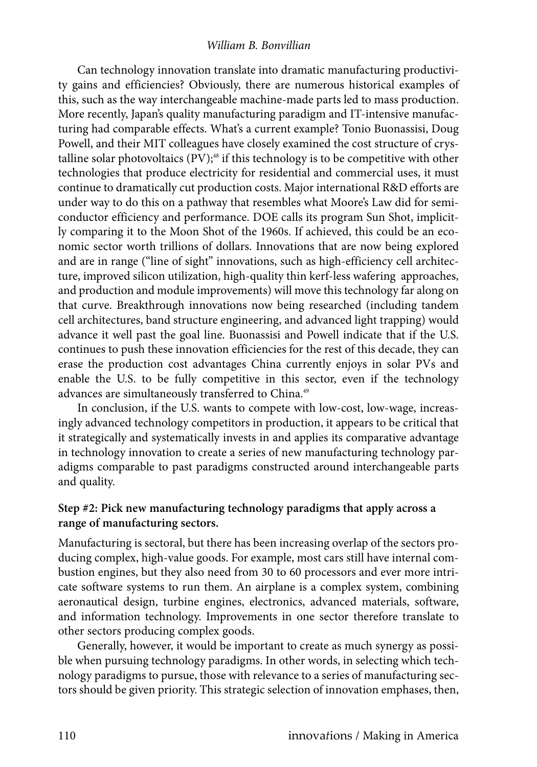Can technology innovation translate into dramatic manufacturing productivity gains and efficiencies? Obviously, there are numerous historical examples of this, such as the way interchangeable machine-made parts led to mass production. More recently, Japan's quality manufacturing paradigm and IT-intensive manufacturing had comparable effects. What's a current example? Tonio Buonassisi, Doug Powell, and their MIT colleagues have closely examined the cost structure of crystalline solar photovoltaics  $(PV);$ <sup>48</sup> if this technology is to be competitive with other technologies that produce electricity for residential and commercial uses, it must continue to dramatically cut production costs. Major international R&D efforts are under way to do this on a pathway that resembles what Moore's Law did for semiconductor efficiency and performance. DOE calls its program Sun Shot, implicitly comparing it to the Moon Shot of the 1960s. If achieved, this could be an economic sector worth trillions of dollars. Innovations that are now being explored and are in range ("line of sight" innovations, such as high-efficiency cell architecture, improved silicon utilization, high-quality thin kerf-less wafering approaches, and production and module improvements) will move this technology far along on that curve. Breakthrough innovations now being researched (including tandem cell architectures, band structure engineering, and advanced light trapping) would advance it well past the goal line. Buonassisi and Powell indicate that if the U.S. continues to push these innovation efficiencies for the rest of this decade, they can erase the production cost advantages China currently enjoys in solar PVs and enable the U.S. to be fully competitive in this sector, even if the technology advances are simultaneously transferred to China.<sup>49</sup>

In conclusion, if the U.S. wants to compete with low-cost, low-wage, increasingly advanced technology competitors in production, it appears to be critical that it strategically and systematically invests in and applies its comparative advantage in technology innovation to create a series of new manufacturing technology paradigms comparable to past paradigms constructed around interchangeable parts and quality.

## **Step #2: Pick new manufacturing technology paradigms that apply across a range of manufacturing sectors.**

Manufacturing is sectoral, but there has been increasing overlap of the sectors producing complex, high-value goods. For example, most cars still have internal combustion engines, but they also need from 30 to 60 processors and ever more intricate software systems to run them. An airplane is a complex system, combining aeronautical design, turbine engines, electronics, advanced materials, software, and information technology. Improvements in one sector therefore translate to other sectors producing complex goods.

Generally, however, it would be important to create as much synergy as possible when pursuing technology paradigms. In other words, in selecting which technology paradigms to pursue, those with relevance to a series of manufacturing sectors should be given priority. This strategic selection of innovation emphases, then,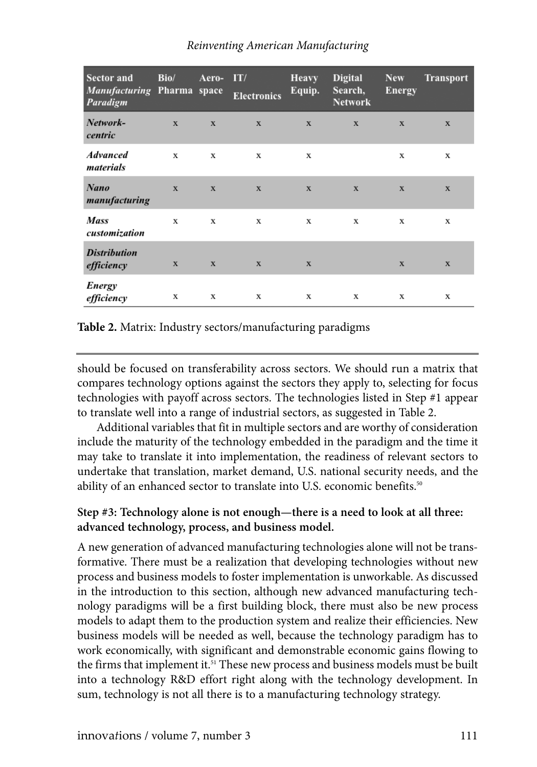| <b>Sector and</b><br>Manufacturing Pharma space<br>Paradigm | Bio/         | Aero-        | IT/<br><b>Electronics</b> | <b>Heavy</b><br>Equip. | <b>Digital</b><br>Search,<br><b>Network</b> | <b>New</b><br><b>Energy</b> | <b>Transport</b> |
|-------------------------------------------------------------|--------------|--------------|---------------------------|------------------------|---------------------------------------------|-----------------------------|------------------|
| Network-<br>centric                                         | $\mathbf x$  | X            | $\mathbf x$               | X                      | $\mathbf x$                                 | $\mathbf x$                 | $\mathbf x$      |
| <b>Advanced</b><br>materials                                | $\mathbf x$  | X            | X                         | X                      |                                             | X                           | X                |
| Nano<br>manufacturing                                       | $\mathbf{x}$ | $\mathbf{x}$ | $\mathbf x$               | $\mathbf{x}$           | $\mathbf{x}$                                | $\mathbf{x}$                | $\mathbf{x}$     |
| <b>Mass</b><br>customization                                | X            | X            | X                         | х                      | X                                           | X                           | X                |
| <b>Distribution</b><br>efficiency                           | $\mathbf x$  | X            | $\mathbf x$               | X                      |                                             | $\mathbf x$                 | $\mathbf x$      |
| Energy<br>efficiency                                        | x            | х            | х                         | х                      | X                                           | X                           | х                |

**Table 2.** Matrix: Industry sectors/manufacturing paradigms

should be focused on transferability across sectors. We should run a matrix that compares technology options against the sectors they apply to, selecting for focus technologies with payoff across sectors. The technologies listed in Step #1 appear to translate well into a range of industrial sectors, as suggested in Table 2.

Additional variables that fit in multiple sectors and are worthy of consideration include the maturity of the technology embedded in the paradigm and the time it may take to translate it into implementation, the readiness of relevant sectors to undertake that translation, market demand, U.S. national security needs, and the ability of an enhanced sector to translate into U.S. economic benefits.<sup>50</sup>

# **Step #3: Technology alone is not enough—there is a need to look at all three: advanced technology, process, and business model.**

A new generation of advanced manufacturing technologies alone will not be transformative. There must be a realization that developing technologies without new process and business models to foster implementation is unworkable. As discussed in the introduction to this section, although new advanced manufacturing technology paradigms will be a first building block, there must also be new process models to adapt them to the production system and realize their efficiencies. New business models will be needed as well, because the technology paradigm has to work economically, with significant and demonstrable economic gains flowing to the firms that implement it.<sup>51</sup> These new process and business models must be built into a technology R&D effort right along with the technology development. In sum, technology is not all there is to a manufacturing technology strategy.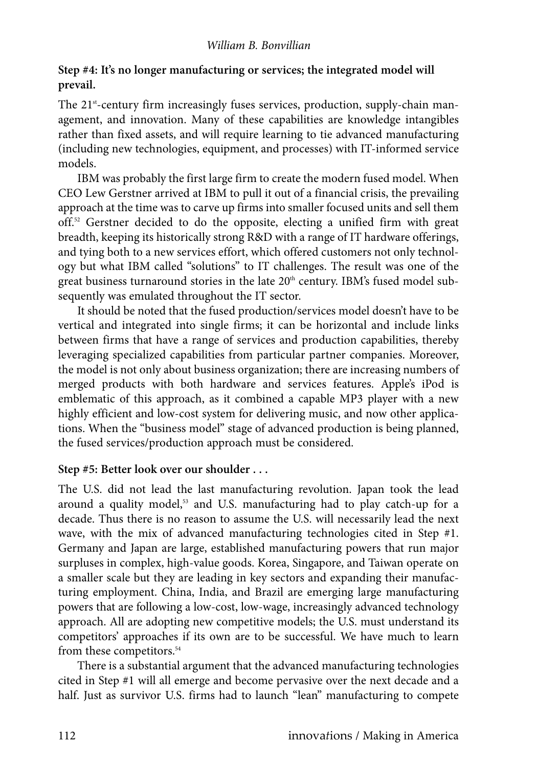## **Step #4: It's no longer manufacturing or services; the integrated model will prevail.**

The 21<sup>st</sup>-century firm increasingly fuses services, production, supply-chain management, and innovation. Many of these capabilities are knowledge intangibles rather than fixed assets, and will require learning to tie advanced manufacturing (including new technologies, equipment, and processes) with IT-informed service models.

IBM was probably the first large firm to create the modern fused model. When CEO Lew Gerstner arrived at IBM to pull it out of a financial crisis, the prevailing approach at the time was to carve up firms into smaller focused units and sell them off.52 Gerstner decided to do the opposite, electing a unified firm with great breadth, keeping its historically strong R&D with a range of IT hardware offerings, and tying both to a new services effort, which offered customers not only technology but what IBM called "solutions" to IT challenges. The result was one of the great business turnaround stories in the late 20<sup>th</sup> century. IBM's fused model subsequently was emulated throughout the IT sector.

It should be noted that the fused production/services model doesn't have to be vertical and integrated into single firms; it can be horizontal and include links between firms that have a range of services and production capabilities, thereby leveraging specialized capabilities from particular partner companies. Moreover, the model is not only about business organization; there are increasing numbers of merged products with both hardware and services features. Apple's iPod is emblematic of this approach, as it combined a capable MP3 player with a new highly efficient and low-cost system for delivering music, and now other applications. When the "business model" stage of advanced production is being planned, the fused services/production approach must be considered.

## **Step #5: Better look over our shoulder . . .**

The U.S. did not lead the last manufacturing revolution. Japan took the lead around a quality model,<sup>53</sup> and U.S. manufacturing had to play catch-up for a decade. Thus there is no reason to assume the U.S. will necessarily lead the next wave, with the mix of advanced manufacturing technologies cited in Step #1. Germany and Japan are large, established manufacturing powers that run major surpluses in complex, high-value goods. Korea, Singapore, and Taiwan operate on a smaller scale but they are leading in key sectors and expanding their manufacturing employment. China, India, and Brazil are emerging large manufacturing powers that are following a low-cost, low-wage, increasingly advanced technology approach. All are adopting new competitive models; the U.S. must understand its competitors' approaches if its own are to be successful. We have much to learn from these competitors.<sup>54</sup>

There is a substantial argument that the advanced manufacturing technologies cited in Step #1 will all emerge and become pervasive over the next decade and a half. Just as survivor U.S. firms had to launch "lean" manufacturing to compete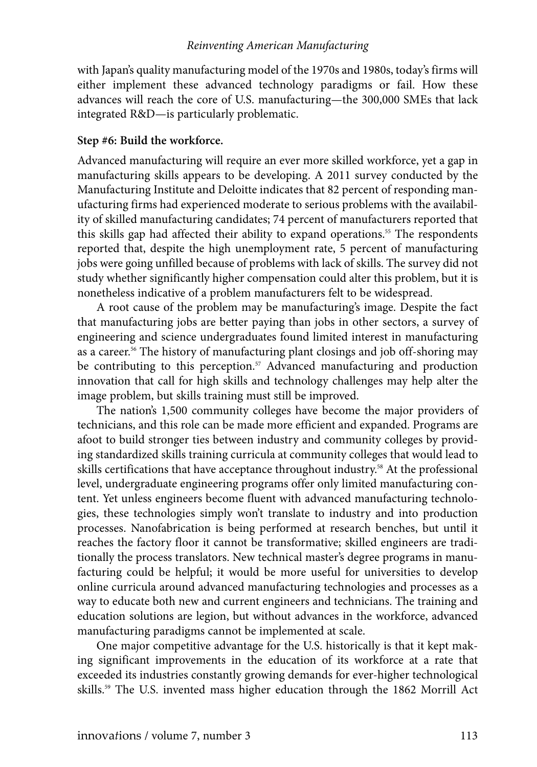with Japan's quality manufacturing model of the 1970s and 1980s, today's firms will either implement these advanced technology paradigms or fail. How these advances will reach the core of U.S. manufacturing—the 300,000 SMEs that lack integrated R&D—is particularly problematic.

### **Step #6: Build the workforce.**

Advanced manufacturing will require an ever more skilled workforce, yet a gap in manufacturing skills appears to be developing. A 2011 survey conducted by the Manufacturing Institute and Deloitte indicates that 82 percent of responding manufacturing firms had experienced moderate to serious problems with the availability of skilled manufacturing candidates; 74 percent of manufacturers reported that this skills gap had affected their ability to expand operations.<sup>55</sup> The respondents reported that, despite the high unemployment rate, 5 percent of manufacturing jobs were going unfilled because of problems with lack of skills. The survey did not study whether significantly higher compensation could alter this problem, but it is nonetheless indicative of a problem manufacturers felt to be widespread.

A root cause of the problem may be manufacturing's image. Despite the fact that manufacturing jobs are better paying than jobs in other sectors, a survey of engineering and science undergraduates found limited interest in manufacturing as a career.<sup>56</sup> The history of manufacturing plant closings and job off-shoring may be contributing to this perception.<sup>57</sup> Advanced manufacturing and production innovation that call for high skills and technology challenges may help alter the image problem, but skills training must still be improved.

The nation's 1,500 community colleges have become the major providers of technicians, and this role can be made more efficient and expanded. Programs are afoot to build stronger ties between industry and community colleges by providing standardized skills training curricula at community colleges that would lead to skills certifications that have acceptance throughout industry.<sup>58</sup> At the professional level, undergraduate engineering programs offer only limited manufacturing content. Yet unless engineers become fluent with advanced manufacturing technologies, these technologies simply won't translate to industry and into production processes. Nanofabrication is being performed at research benches, but until it reaches the factory floor it cannot be transformative; skilled engineers are traditionally the process translators. New technical master's degree programs in manufacturing could be helpful; it would be more useful for universities to develop online curricula around advanced manufacturing technologies and processes as a way to educate both new and current engineers and technicians. The training and education solutions are legion, but without advances in the workforce, advanced manufacturing paradigms cannot be implemented at scale.

One major competitive advantage for the U.S. historically is that it kept making significant improvements in the education of its workforce at a rate that exceeded its industries constantly growing demands for ever-higher technological skills.<sup>59</sup> The U.S. invented mass higher education through the 1862 Morrill Act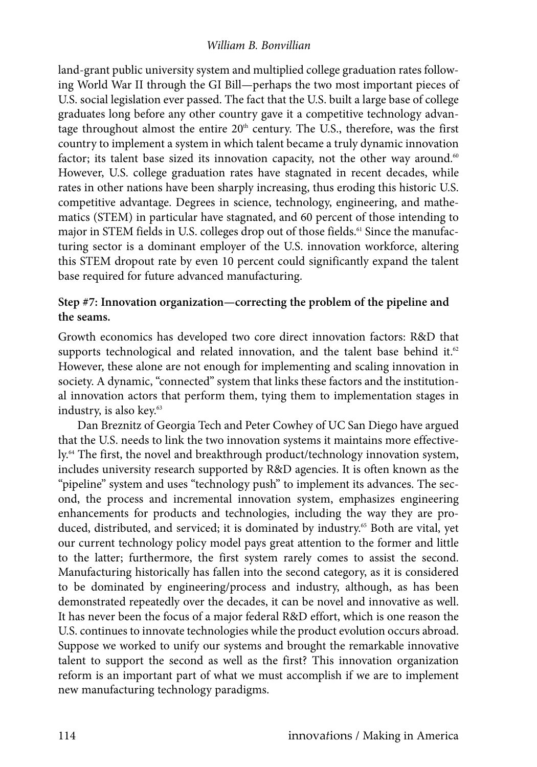land-grant public university system and multiplied college graduation rates following World War II through the GI Bill—perhaps the two most important pieces of U.S. social legislation ever passed. The fact that the U.S. built a large base of college graduates long before any other country gave it a competitive technology advantage throughout almost the entire 20<sup>th</sup> century. The U.S., therefore, was the first country to implement a system in which talent became a truly dynamic innovation factor; its talent base sized its innovation capacity, not the other way around.<sup>60</sup> However, U.S. college graduation rates have stagnated in recent decades, while rates in other nations have been sharply increasing, thus eroding this historic U.S. competitive advantage. Degrees in science, technology, engineering, and mathematics (STEM) in particular have stagnated, and 60 percent of those intending to major in STEM fields in U.S. colleges drop out of those fields.<sup>61</sup> Since the manufacturing sector is a dominant employer of the U.S. innovation workforce, altering this STEM dropout rate by even 10 percent could significantly expand the talent base required for future advanced manufacturing.

## **Step #7: Innovation organization—correcting the problem of the pipeline and the seams.**

Growth economics has developed two core direct innovation factors: R&D that supports technological and related innovation, and the talent base behind it.<sup>62</sup> However, these alone are not enough for implementing and scaling innovation in society. A dynamic, "connected" system that links these factors and the institutional innovation actors that perform them, tying them to implementation stages in industry, is also key.<sup>63</sup>

Dan Breznitz of Georgia Tech and Peter Cowhey of UC San Diego have argued that the U.S. needs to link the two innovation systems it maintains more effectively.<sup>64</sup> The first, the novel and breakthrough product/technology innovation system, includes university research supported by R&D agencies. It is often known as the "pipeline" system and uses "technology push" to implement its advances. The second, the process and incremental innovation system, emphasizes engineering enhancements for products and technologies, including the way they are produced, distributed, and serviced; it is dominated by industry.<sup>65</sup> Both are vital, yet our current technology policy model pays great attention to the former and little to the latter; furthermore, the first system rarely comes to assist the second. Manufacturing historically has fallen into the second category, as it is considered to be dominated by engineering/process and industry, although, as has been demonstrated repeatedly over the decades, it can be novel and innovative as well. It has never been the focus of a major federal R&D effort, which is one reason the U.S. continues to innovate technologies while the product evolution occurs abroad. Suppose we worked to unify our systems and brought the remarkable innovative talent to support the second as well as the first? This innovation organization reform is an important part of what we must accomplish if we are to implement new manufacturing technology paradigms.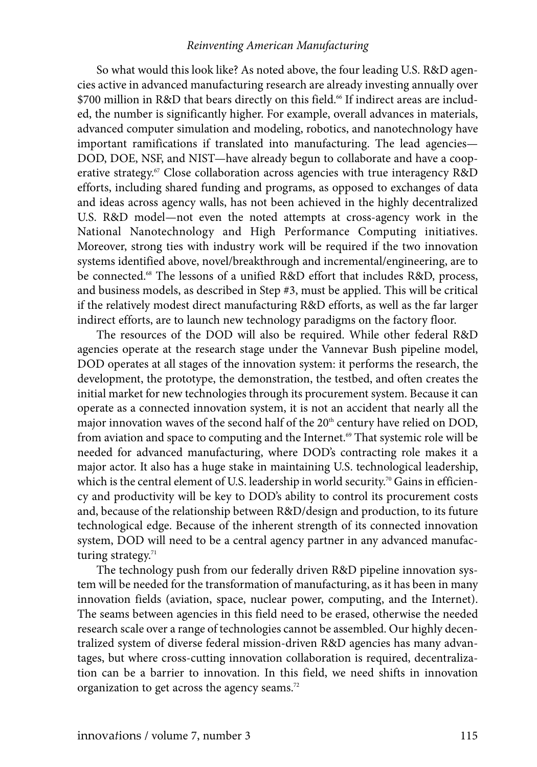So what would this look like? As noted above, the four leading U.S. R&D agencies active in advanced manufacturing research are already investing annually over \$700 million in R&D that bears directly on this field.<sup>66</sup> If indirect areas are included, the number is significantly higher. For example, overall advances in materials, advanced computer simulation and modeling, robotics, and nanotechnology have important ramifications if translated into manufacturing. The lead agencies— DOD, DOE, NSF, and NIST—have already begun to collaborate and have a cooperative strategy.<sup>67</sup> Close collaboration across agencies with true interagency R&D efforts, including shared funding and programs, as opposed to exchanges of data and ideas across agency walls, has not been achieved in the highly decentralized U.S. R&D model—not even the noted attempts at cross-agency work in the National Nanotechnology and High Performance Computing initiatives. Moreover, strong ties with industry work will be required if the two innovation systems identified above, novel/breakthrough and incremental/engineering, are to be connected.<sup>68</sup> The lessons of a unified R&D effort that includes R&D, process, and business models, as described in Step #3, must be applied. This will be critical if the relatively modest direct manufacturing R&D efforts, as well as the far larger indirect efforts, are to launch new technology paradigms on the factory floor.

The resources of the DOD will also be required. While other federal R&D agencies operate at the research stage under the Vannevar Bush pipeline model, DOD operates at all stages of the innovation system: it performs the research, the development, the prototype, the demonstration, the testbed, and often creates the initial market for new technologies through its procurement system. Because it can operate as a connected innovation system, it is not an accident that nearly all the major innovation waves of the second half of the  $20<sup>th</sup>$  century have relied on DOD, from aviation and space to computing and the Internet.<sup>69</sup> That systemic role will be needed for advanced manufacturing, where DOD's contracting role makes it a major actor. It also has a huge stake in maintaining U.S. technological leadership, which is the central element of U.S. leadership in world security.<sup>70</sup> Gains in efficiency and productivity will be key to DOD's ability to control its procurement costs and, because of the relationship between R&D/design and production, to its future technological edge. Because of the inherent strength of its connected innovation system, DOD will need to be a central agency partner in any advanced manufacturing strategy. $71$ 

The technology push from our federally driven R&D pipeline innovation system will be needed for the transformation of manufacturing, as it has been in many innovation fields (aviation, space, nuclear power, computing, and the Internet). The seams between agencies in this field need to be erased, otherwise the needed research scale over a range of technologies cannot be assembled. Our highly decentralized system of diverse federal mission-driven R&D agencies has many advantages, but where cross-cutting innovation collaboration is required, decentralization can be a barrier to innovation. In this field, we need shifts in innovation organization to get across the agency seams.<sup>72</sup>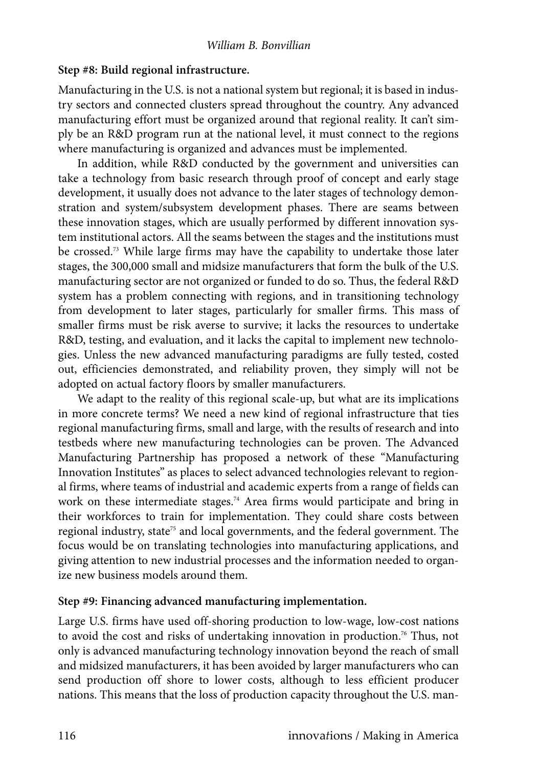## **Step #8: Build regional infrastructure.**

Manufacturing in the U.S. is not a national system but regional; it is based in industry sectors and connected clusters spread throughout the country. Any advanced manufacturing effort must be organized around that regional reality. It can't simply be an R&D program run at the national level, it must connect to the regions where manufacturing is organized and advances must be implemented.

In addition, while R&D conducted by the government and universities can take a technology from basic research through proof of concept and early stage development, it usually does not advance to the later stages of technology demonstration and system/subsystem development phases. There are seams between these innovation stages, which are usually performed by different innovation system institutional actors. All the seams between the stages and the institutions must be crossed.73 While large firms may have the capability to undertake those later stages, the 300,000 small and midsize manufacturers that form the bulk of the U.S. manufacturing sector are not organized or funded to do so. Thus, the federal R&D system has a problem connecting with regions, and in transitioning technology from development to later stages, particularly for smaller firms. This mass of smaller firms must be risk averse to survive; it lacks the resources to undertake R&D, testing, and evaluation, and it lacks the capital to implement new technologies. Unless the new advanced manufacturing paradigms are fully tested, costed out, efficiencies demonstrated, and reliability proven, they simply will not be adopted on actual factory floors by smaller manufacturers.

We adapt to the reality of this regional scale-up, but what are its implications in more concrete terms? We need a new kind of regional infrastructure that ties regional manufacturing firms, small and large, with the results of research and into testbeds where new manufacturing technologies can be proven. The Advanced Manufacturing Partnership has proposed a network of these "Manufacturing Innovation Institutes" as places to select advanced technologies relevant to regional firms, where teams of industrial and academic experts from a range of fields can work on these intermediate stages.<sup>74</sup> Area firms would participate and bring in their workforces to train for implementation. They could share costs between regional industry, state<sup>75</sup> and local governments, and the federal government. The focus would be on translating technologies into manufacturing applications, and giving attention to new industrial processes and the information needed to organize new business models around them.

## **Step #9: Financing advanced manufacturing implementation.**

Large U.S. firms have used off-shoring production to low-wage, low-cost nations to avoid the cost and risks of undertaking innovation in production.<sup>76</sup> Thus, not only is advanced manufacturing technology innovation beyond the reach of small and midsized manufacturers, it has been avoided by larger manufacturers who can send production off shore to lower costs, although to less efficient producer nations. This means that the loss of production capacity throughout the U.S. man-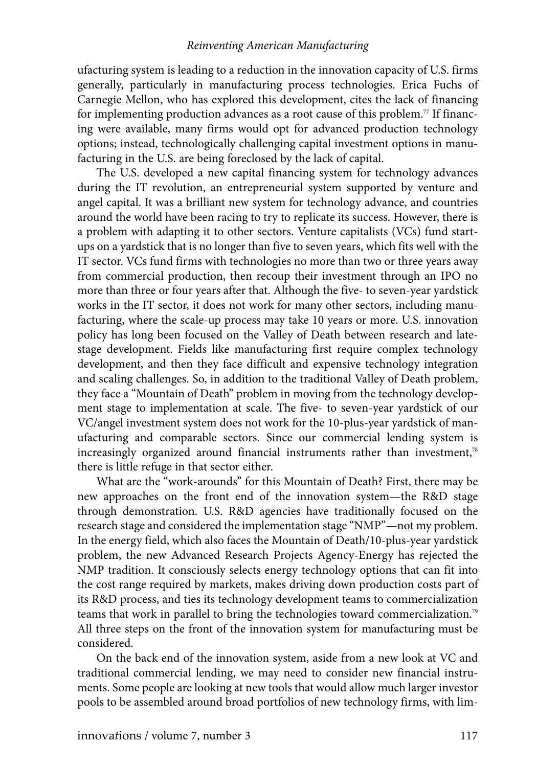ufacturing system is leading to a reduction in the innovation capacity of U.S. firms generally, particularly in manufacturing process technologies. Erica Fuchs of Carnegie Mellon, who has explored this development, cites the lack of financing for implementing production advances as a root cause of this problem.<sup>77</sup> If financing were available, many firms would opt for advanced production technology options; instead, technologically challenging capital investment options in manufacturing in the U.S. are being foreclosed by the lack of capital.

The U.S. developed a new capital financing system for technology advances during the IT revolution, an entrepreneurial system supported by venture and angel capital. It was a brilliant new system for technology advance, and countries around the world have been racing to try to replicate its success. However, there is a problem with adapting it to other sectors. Venture capitalists (VCs) fund startups on a yardstick that is no longer than five to seven years, which fits well with the IT sector. VCs fund firms with technologies no more than two or three years away from commercial production, then recoup their investment through an IPO no more than three or four years after that. Although the five- to seven-year yardstick works in the IT sector, it does not work for many other sectors, including manufacturing, where the scale-up process may take 10 years or more. U.S. innovation policy has long been focused on the Valley of Death between research and latestage development. Fields like manufacturing first require complex technology development, and then they face difficult and expensive technology integration and scaling challenges. So, in addition to the traditional Valley of Death problem, they face a "Mountain of Death" problem in moving from the technology development stage to implementation at scale. The five- to seven-year yardstick of our VC/angel investment system does not work for the 10-plus-year yardstick of manufacturing and comparable sectors. Since our commercial lending system is increasingly organized around financial instruments rather than investment, $7<sup>8</sup>$ there is little refuge in that sector either.

What are the "work-arounds" for this Mountain of Death? First, there may be new approaches on the front end of the innovation system—the R&D stage through demonstration. U.S. R&D agencies have traditionally focused on the research stage and considered the implementation stage "NMP"—not my problem. In the energy field, which also faces the Mountain of Death/10-plus-year yardstick problem, the new Advanced Research Projects Agency-Energy has rejected the NMP tradition. It consciously selects energy technology options that can fit into the cost range required by markets, makes driving down production costs part of its R&D process, and ties its technology development teams to commercialization teams that work in parallel to bring the technologies toward commercialization.<sup>79</sup> All three steps on the front of the innovation system for manufacturing must be considered.

On the back end of the innovation system, aside from a new look at VC and traditional commercial lending, we may need to consider new financial instruments. Some people are looking at new tools that would allow much larger investor pools to be assembled around broad portfolios of new technology firms, with lim-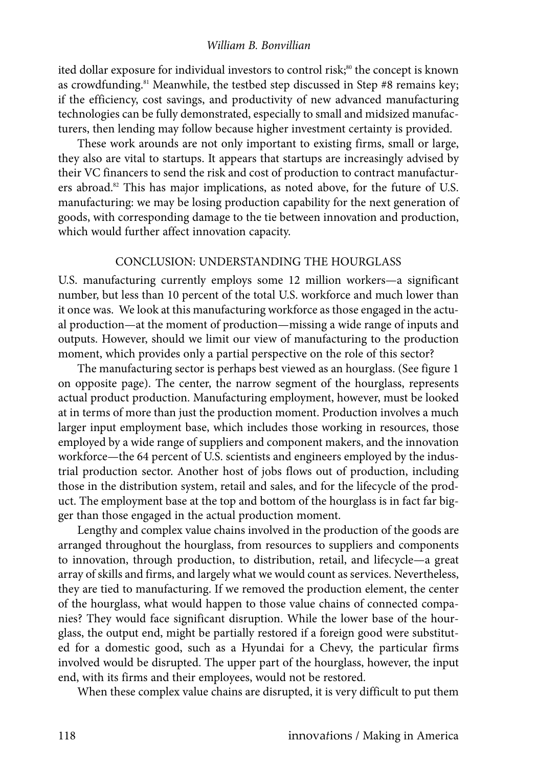ited dollar exposure for individual investors to control risk;<sup>80</sup> the concept is known as crowdfunding.<sup>81</sup> Meanwhile, the testbed step discussed in Step #8 remains key; if the efficiency, cost savings, and productivity of new advanced manufacturing technologies can be fully demonstrated, especially to small and midsized manufacturers, then lending may follow because higher investment certainty is provided.

These work arounds are not only important to existing firms, small or large, they also are vital to startups. It appears that startups are increasingly advised by their VC financers to send the risk and cost of production to contract manufacturers abroad.<sup>82</sup> This has major implications, as noted above, for the future of U.S. manufacturing: we may be losing production capability for the next generation of goods, with corresponding damage to the tie between innovation and production, which would further affect innovation capacity.

#### CONCLUSION: UNDERSTANDING THE HOURGLASS

U.S. manufacturing currently employs some 12 million workers—a significant number, but less than 10 percent of the total U.S. workforce and much lower than it once was. We look at this manufacturing workforce as those engaged in the actual production—at the moment of production—missing a wide range of inputs and outputs. However, should we limit our view of manufacturing to the production moment, which provides only a partial perspective on the role of this sector?

The manufacturing sector is perhaps best viewed as an hourglass. (See figure 1 on opposite page). The center, the narrow segment of the hourglass, represents actual product production. Manufacturing employment, however, must be looked at in terms of more than just the production moment. Production involves a much larger input employment base, which includes those working in resources, those employed by a wide range of suppliers and component makers, and the innovation workforce—the 64 percent of U.S. scientists and engineers employed by the industrial production sector. Another host of jobs flows out of production, including those in the distribution system, retail and sales, and for the lifecycle of the product. The employment base at the top and bottom of the hourglass is in fact far bigger than those engaged in the actual production moment.

Lengthy and complex value chains involved in the production of the goods are arranged throughout the hourglass, from resources to suppliers and components to innovation, through production, to distribution, retail, and lifecycle—a great array of skills and firms, and largely what we would count as services. Nevertheless, they are tied to manufacturing. If we removed the production element, the center of the hourglass, what would happen to those value chains of connected companies? They would face significant disruption. While the lower base of the hourglass, the output end, might be partially restored if a foreign good were substituted for a domestic good, such as a Hyundai for a Chevy, the particular firms involved would be disrupted. The upper part of the hourglass, however, the input end, with its firms and their employees, would not be restored.

When these complex value chains are disrupted, it is very difficult to put them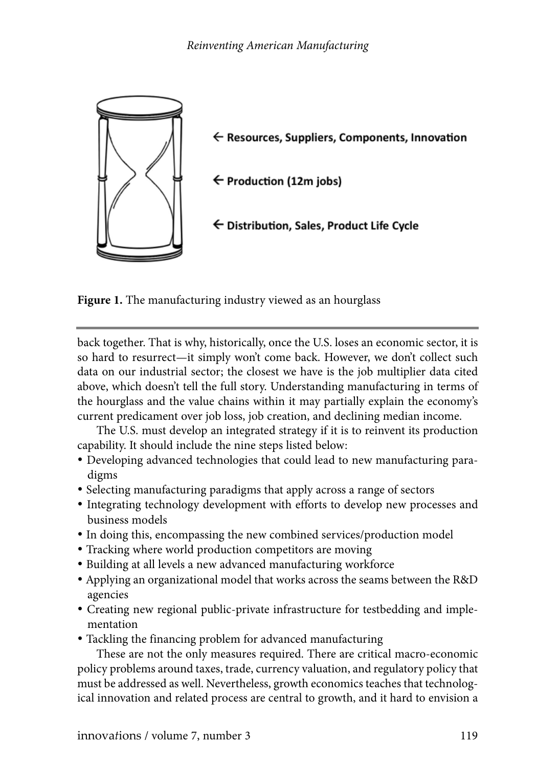

**Figure 1.** The manufacturing industry viewed as an hourglass

back together. That is why, historically, once the U.S. loses an economic sector, it is so hard to resurrect—it simply won't come back. However, we don't collect such data on our industrial sector; the closest we have is the job multiplier data cited above, which doesn't tell the full story. Understanding manufacturing in terms of the hourglass and the value chains within it may partially explain the economy's current predicament over job loss, job creation, and declining median income.

The U.S. must develop an integrated strategy if it is to reinvent its production capability. It should include the nine steps listed below:

- -Developing advanced technologies that could lead to new manufacturing paradigms
- -Selecting manufacturing paradigms that apply across a range of sectors
- -Integrating technology development with efforts to develop new processes and business models
- -In doing this, encompassing the new combined services/production model
- -Tracking where world production competitors are moving
- -Building at all levels a new advanced manufacturing workforce
- -Applying an organizational model that works across the seams between the R&D agencies
- -Creating new regional public-private infrastructure for testbedding and implementation
- -Tackling the financing problem for advanced manufacturing

These are not the only measures required. There are critical macro-economic policy problems around taxes, trade, currency valuation, and regulatory policy that must be addressed as well. Nevertheless, growth economics teaches that technological innovation and related process are central to growth, and it hard to envision a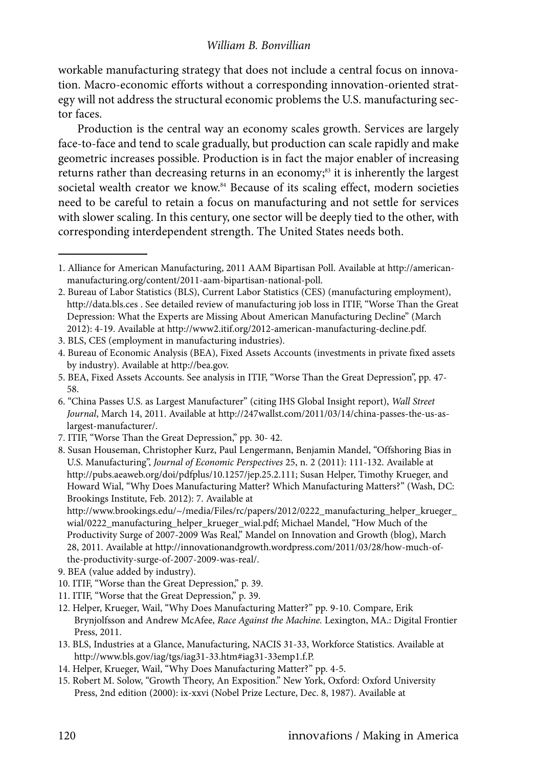workable manufacturing strategy that does not include a central focus on innovation. Macro-economic efforts without a corresponding innovation-oriented strategy will not address the structural economic problems the U.S. manufacturing sector faces.

Production is the central way an economy scales growth. Services are largely face-to-face and tend to scale gradually, but production can scale rapidly and make geometric increases possible. Production is in fact the major enabler of increasing returns rather than decreasing returns in an economy;<sup>83</sup> it is inherently the largest societal wealth creator we know.<sup>84</sup> Because of its scaling effect, modern societies need to be careful to retain a focus on manufacturing and not settle for services with slower scaling. In this century, one sector will be deeply tied to the other, with corresponding interdependent strength. The United States needs both.

http://www.brookings.edu/~/media/Files/rc/papers/2012/0222\_manufacturing\_helper\_krueger\_ wial/0222\_manufacturing\_helper\_krueger\_wial.pdf; Michael Mandel, "How Much of the Productivity Surge of 2007-2009 Was Real," Mandel on Innovation and Growth (blog), March 28, 2011. Available at http://innovationandgrowth.wordpress.com/2011/03/28/how-much-ofthe-productivity-surge-of-2007-2009-was-real/.

- 9. BEA (value added by industry).
- 10. ITIF, "Worse than the Great Depression," p. 39.
- 11. ITIF, "Worse that the Great Depression," p. 39.
- 12. Helper, Krueger, Wail, "Why Does Manufacturing Matter?" pp. 9-10. Compare, Erik Brynjolfsson and Andrew McAfee, *Race Against the Machine.* Lexington, MA.: Digital Frontier Press, 2011.
- 13. BLS, Industries at a Glance, Manufacturing, NACIS 31-33, Workforce Statistics. Available at http://www.bls.gov/iag/tgs/iag31-33.htm#iag31-33emp1.f.P.
- 14. Helper, Krueger, Wail, "Why Does Manufacturing Matter?" pp. 4-5.
- 15. Robert M. Solow, "Growth Theory, An Exposition." New York, Oxford: Oxford University Press, 2nd edition (2000): ix-xxvi (Nobel Prize Lecture, Dec. 8, 1987). Available at

<sup>1.</sup> Alliance for American Manufacturing, 2011 AAM Bipartisan Poll. Available at http://americanmanufacturing.org/content/2011-aam-bipartisan-national-poll.

<sup>2.</sup> Bureau of Labor Statistics (BLS), Current Labor Statistics (CES) (manufacturing employment), http://data.bls.ces . See detailed review of manufacturing job loss in ITIF, "Worse Than the Great Depression: What the Experts are Missing About American Manufacturing Decline" (March 2012): 4-19. Available at http://www2.itif.org/2012-american-manufacturing-decline.pdf.

<sup>3.</sup> BLS, CES (employment in manufacturing industries).

<sup>4.</sup> Bureau of Economic Analysis (BEA), Fixed Assets Accounts (investments in private fixed assets by industry). Available at http://bea.gov.

<sup>5.</sup> BEA, Fixed Assets Accounts. See analysis in ITIF, "Worse Than the Great Depression", pp. 47- 58.

<sup>6. &</sup>quot;China Passes U.S. as Largest Manufacturer" (citing IHS Global Insight report), *Wall Street Journal*, March 14, 2011. Available at http://247wallst.com/2011/03/14/china-passes-the-us-aslargest-manufacturer/.

<sup>7.</sup> ITIF, "Worse Than the Great Depression," pp. 30- 42.

<sup>8.</sup> Susan Houseman, Christopher Kurz, Paul Lengermann, Benjamin Mandel, "Offshoring Bias in U.S. Manufacturing", *Journal of Economic Perspectives* 25, n. 2 (2011): 111-132. Available at http://pubs.aeaweb.org/doi/pdfplus/10.1257/jep.25.2.111; Susan Helper, Timothy Krueger, and Howard Wial, "Why Does Manufacturing Matter? Which Manufacturing Matters?" (Wash, DC: Brookings Institute, Feb. 2012): 7. Available at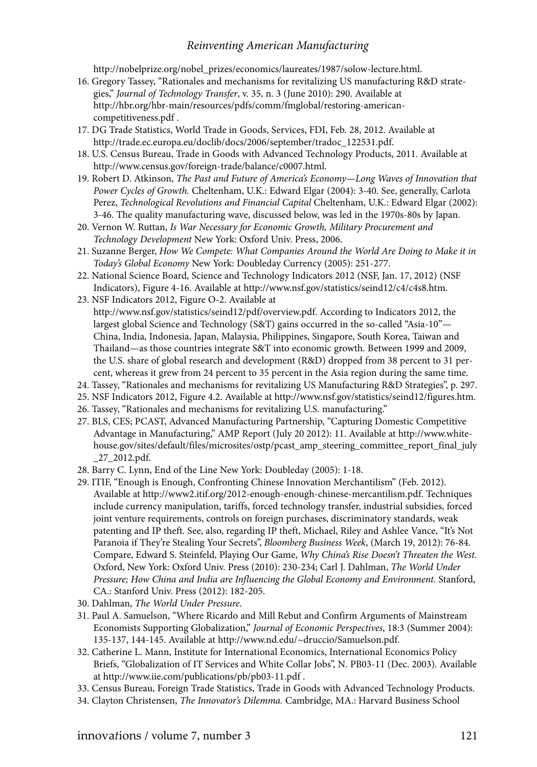http://nobelprize.org/nobel\_prizes/economics/laureates/1987/solow-lecture.html.

- 16. Gregory Tassey, "Rationales and mechanisms for revitalizing US manufacturing R&D strategies," *Journal of Technology Transfer*, v. 35, n. 3 (June 2010): 290. Available at http://hbr.org/hbr-main/resources/pdfs/comm/fmglobal/restoring-americancompetitiveness.pdf .
- 17. DG Trade Statistics, World Trade in Goods, Services, FDI, Feb. 28, 2012. Available at http://trade.ec.europa.eu/doclib/docs/2006/september/tradoc\_122531.pdf.
- 18. U.S. Census Bureau, Trade in Goods with Advanced Technology Products, 2011. Available at http://www.census.gov/foreign-trade/balance/c0007.html.
- 19. Robert D. Atkinson, *The Past and Future of America's Economy—Long Waves of Innovation that Power Cycles of Growth.* Cheltenham, U.K.: Edward Elgar (2004): 3-40. See, generally, Carlota Perez, *Technological Revolutions and Financial Capital* Cheltenham, U.K.: Edward Elgar (2002): 3-46. The quality manufacturing wave, discussed below, was led in the 1970s-80s by Japan.
- 20. Vernon W. Ruttan, *Is War Necessary for Economic Growth, Military Procurement and Technology Development* New York: Oxford Univ. Press, 2006.
- 21. Suzanne Berger, *How We Compete: What Companies Around the World Are Doing to Make it in Today's Global Economy* New York: Doubleday Currency (2005): 251-277.
- 22. National Science Board, Science and Technology Indicators 2012 (NSF, Jan. 17, 2012) (NSF Indicators), Figure 4-16. Available at http://www.nsf.gov/statistics/seind12/c4/c4s8.htm.
- 23. NSF Indicators 2012, Figure O-2. Available at http://www.nsf.gov/statistics/seind12/pdf/overview.pdf. According to Indicators 2012, the largest global Science and Technology (S&T) gains occurred in the so-called "Asia-10"— China, India, Indonesia, Japan, Malaysia, Philippines, Singapore, South Korea, Taiwan and Thailand—as those countries integrate S&T into economic growth. Between 1999 and 2009, the U.S. share of global research and development (R&D) dropped from 38 percent to 31 percent, whereas it grew from 24 percent to 35 percent in the Asia region during the same time.
- 24. Tassey, "Rationales and mechanisms for revitalizing US Manufacturing R&D Strategies", p. 297.
- 25. NSF Indicators 2012, Figure 4.2. Available at http://www.nsf.gov/statistics/seind12/figures.htm.
- 26. Tassey, "Rationales and mechanisms for revitalizing U.S. manufacturing."
- 27. BLS, CES; PCAST, Advanced Manufacturing Partnership, "Capturing Domestic Competitive Advantage in Manufacturing," AMP Report (July 20 2012): 11. Available at http://www.whitehouse.gov/sites/default/files/microsites/ostp/pcast\_amp\_steering\_committee\_report\_final\_july \_27\_2012.pdf.
- 28. Barry C. Lynn, End of the Line New York: Doubleday (2005): 1-18.
- 29. ITIF, "Enough is Enough, Confronting Chinese Innovation Merchantilism" (Feb. 2012). Available at http://www2.itif.org/2012-enough-enough-chinese-mercantilism.pdf. Techniques include currency manipulation, tariffs, forced technology transfer, industrial subsidies, forced joint venture requirements, controls on foreign purchases, discriminatory standards, weak patenting and IP theft. See, also, regarding IP theft, Michael, Riley and Ashlee Vance, "It's Not Paranoia if They're Stealing Your Secrets", *Bloomberg Business Week*, (March 19, 2012): 76-84. Compare, Edward S. Steinfeld, Playing Our Game, *Why China's Rise Doesn't Threaten the West.* Oxford, New York: Oxford Univ. Press (2010): 230-234; Carl J. Dahlman, *The World Under Pressure; How China and India are Influencing the Global Economy and Environment.* Stanford, CA.: Stanford Univ. Press (2012): 182-205.
- 30. Dahlman, *The World Under Pressure*.
- 31. Paul A. Samuelson, "Where Ricardo and Mill Rebut and Confirm Arguments of Mainstream Economists Supporting Globalization," *Journal of Economic Perspectives*, 18:3 (Summer 2004): 135-137, 144-145. Available at http://www.nd.edu/~druccio/Samuelson.pdf.
- 32. Catherine L. Mann, Institute for International Economics, International Economics Policy Briefs, "Globalization of IT Services and White Collar Jobs", N. PB03-11 (Dec. 2003). Available at http://www.iie.com/publications/pb/pb03-11.pdf .
- 33. Census Bureau, Foreign Trade Statistics, Trade in Goods with Advanced Technology Products.
- 34. Clayton Christensen, *The Innovator's Dilemma.* Cambridge, MA.: Harvard Business School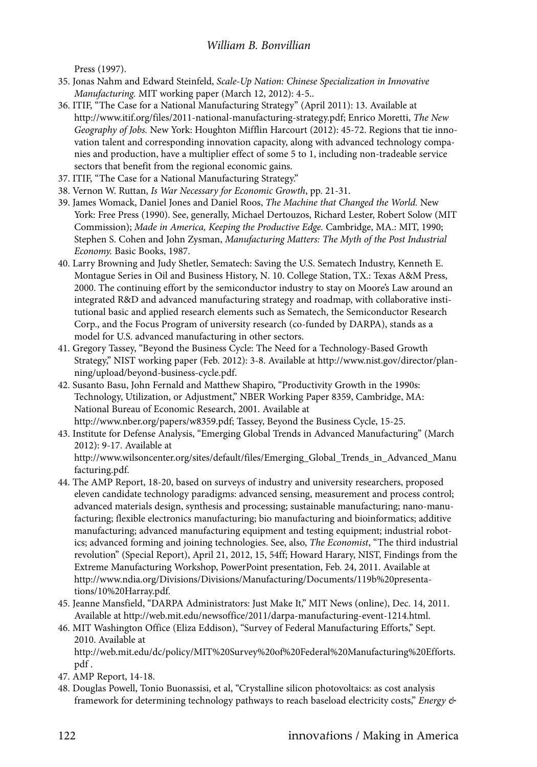Press (1997).

- 35. Jonas Nahm and Edward Steinfeld, *Scale-Up Nation: Chinese Specialization in Innovative Manufacturing.* MIT working paper (March 12, 2012): 4-5..
- 36. ITIF, "The Case for a National Manufacturing Strategy" (April 2011): 13. Available at http://www.itif.org/files/2011-national-manufacturing-strategy.pdf; Enrico Moretti, *The New Geography of Jobs.* New York: Houghton Mifflin Harcourt (2012): 45-72. Regions that tie innovation talent and corresponding innovation capacity, along with advanced technology companies and production, have a multiplier effect of some 5 to 1, including non-tradeable service sectors that benefit from the regional economic gains.
- 37. ITIF, "The Case for a National Manufacturing Strategy."
- 38. Vernon W. Ruttan, *Is War Necessary for Economic Growth*, pp. 21-31.
- 39. James Womack, Daniel Jones and Daniel Roos, *The Machine that Changed the World.* New York: Free Press (1990). See, generally, Michael Dertouzos, Richard Lester, Robert Solow (MIT Commission); *Made in America, Keeping the Productive Edge.* Cambridge, MA.: MIT, 1990; Stephen S. Cohen and John Zysman, *Manufacturing Matters: The Myth of the Post Industrial Economy.* Basic Books, 1987.
- 40. Larry Browning and Judy Shetler, Sematech: Saving the U.S. Sematech Industry, Kenneth E. Montague Series in Oil and Business History, N. 10. College Station, TX.: Texas A&M Press, 2000. The continuing effort by the semiconductor industry to stay on Moore's Law around an integrated R&D and advanced manufacturing strategy and roadmap, with collaborative institutional basic and applied research elements such as Sematech, the Semiconductor Research Corp., and the Focus Program of university research (co-funded by DARPA), stands as a model for U.S. advanced manufacturing in other sectors.
- 41. Gregory Tassey, "Beyond the Business Cycle: The Need for a Technology-Based Growth Strategy," NIST working paper (Feb. 2012): 3-8. Available at http://www.nist.gov/director/planning/upload/beyond-business-cycle.pdf.
- 42. Susanto Basu, John Fernald and Matthew Shapiro, "Productivity Growth in the 1990s: Technology, Utilization, or Adjustment," NBER Working Paper 8359, Cambridge, MA: National Bureau of Economic Research, 2001. Available at http://www.nber.org/papers/w8359.pdf; Tassey, Beyond the Business Cycle, 15-25.
- 43. Institute for Defense Analysis, "Emerging Global Trends in Advanced Manufacturing" (March 2012): 9-17. Available at http://www.wilsoncenter.org/sites/default/files/Emerging\_Global\_Trends\_in\_Advanced\_Manu facturing.pdf.
- 44. The AMP Report, 18-20, based on surveys of industry and university researchers, proposed eleven candidate technology paradigms: advanced sensing, measurement and process control; advanced materials design, synthesis and processing; sustainable manufacturing; nano-manufacturing; flexible electronics manufacturing; bio manufacturing and bioinformatics; additive manufacturing; advanced manufacturing equipment and testing equipment; industrial robotics; advanced forming and joining technologies. See, also, *The Economist*, "The third industrial revolution" (Special Report), April 21, 2012, 15, 54ff; Howard Harary, NIST, Findings from the Extreme Manufacturing Workshop, PowerPoint presentation, Feb. 24, 2011. Available at http://www.ndia.org/Divisions/Divisions/Manufacturing/Documents/119b%20presentations/10%20Harray.pdf.
- 45. Jeanne Mansfield, "DARPA Administrators: Just Make It," MIT News (online), Dec. 14, 2011. Available at http://web.mit.edu/newsoffice/2011/darpa-manufacturing-event-1214.html.
- 46. MIT Washington Office (Eliza Eddison), "Survey of Federal Manufacturing Efforts," Sept. 2010. Available at

http://web.mit.edu/dc/policy/MIT%20Survey%20of%20Federal%20Manufacturing%20Efforts. pdf .

- 47. AMP Report, 14-18.
- 48. Douglas Powell, Tonio Buonassisi, et al, "Crystalline silicon photovoltaics: as cost analysis framework for determining technology pathways to reach baseload electricity costs," *Energy &*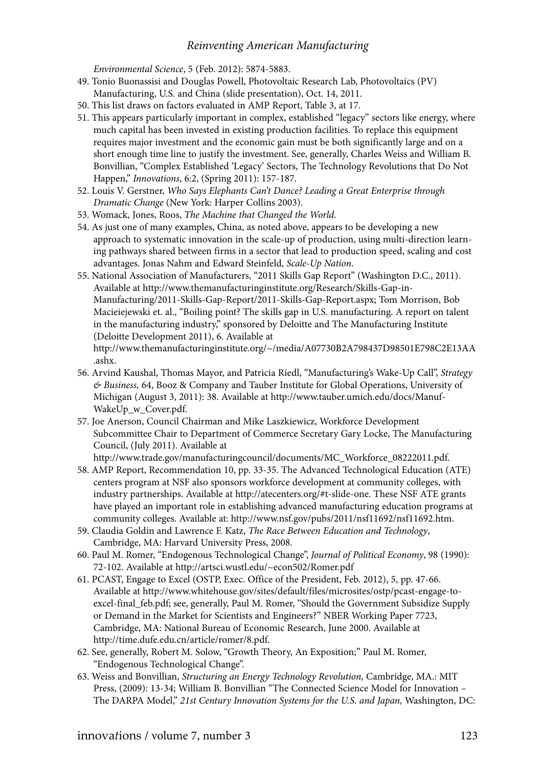*Environmental Science*, 5 (Feb. 2012): 5874-5883.

- 49. Tonio Buonassisi and Douglas Powell, Photovoltaic Research Lab, Photovoltaics (PV) Manufacturing, U.S. and China (slide presentation), Oct. 14, 2011.
- 50. This list draws on factors evaluated in AMP Report, Table 3, at 17.
- 51. This appears particularly important in complex, established "legacy" sectors like energy, where much capital has been invested in existing production facilities. To replace this equipment requires major investment and the economic gain must be both significantly large and on a short enough time line to justify the investment. See, generally, Charles Weiss and William B. Bonvillian, "Complex Established 'Legacy' Sectors, The Technology Revolutions that Do Not Happen," *Innovations*, 6:2, (Spring 2011): 157-187.
- 52. Louis V. Gerstner, *Who Says Elephants Can't Dance? Leading a Great Enterprise through Dramatic Change* (New York: Harper Collins 2003).
- 53. Womack, Jones, Roos, *The Machine that Changed the World*.
- 54. As just one of many examples, China, as noted above, appears to be developing a new approach to systematic innovation in the scale-up of production, using multi-direction learning pathways shared between firms in a sector that lead to production speed, scaling and cost advantages. Jonas Nahm and Edward Steinfeld, *Scale-Up Nation*.
- 55. National Association of Manufacturers, "2011 Skills Gap Report" (Washington D.C., 2011). Available at http://www.themanufacturinginstitute.org/Research/Skills-Gap-in-Manufacturing/2011-Skills-Gap-Report/2011-Skills-Gap-Report.aspx; Tom Morrison, Bob Macieiejewski et. al., "Boiling point? The skills gap in U.S. manufacturing. A report on talent in the manufacturing industry," sponsored by Deloitte and The Manufacturing Institute (Deloitte Development 2011), 6. Available at http://www.themanufacturinginstitute.org/~/media/A07730B2A798437D98501E798C2E13AA

.ashx.

- 56. Arvind Kaushal, Thomas Mayor, and Patricia Riedl, "Manufacturing's Wake-Up Call", *Strategy & Business,* 64, Booz & Company and Tauber Institute for Global Operations, University of Michigan (August 3, 2011): 38. Available at http://www.tauber.umich.edu/docs/Manuf-WakeUp\_w\_Cover.pdf.
- 57. Joe Anerson, Council Chairman and Mike Laszkiewicz, Workforce Development Subcommittee Chair to Department of Commerce Secretary Gary Locke, The Manufacturing Council, (July 2011). Available at

http://www.trade.gov/manufacturingcouncil/documents/MC\_Workforce\_08222011.pdf.

- 58. AMP Report, Recommendation 10, pp. 33-35. The Advanced Technological Education (ATE) centers program at NSF also sponsors workforce development at community colleges, with industry partnerships. Available at http://atecenters.org/#t-slide-one. These NSF ATE grants have played an important role in establishing advanced manufacturing education programs at community colleges. Available at: http://www.nsf.gov/pubs/2011/nsf11692/nsf11692.htm.
- 59. Claudia Goldin and Lawrence F. Katz, *The Race Between Education and Technology*, Cambridge, MA: Harvard University Press, 2008.
- 60. Paul M. Romer, "Endogenous Technological Change", *Journal of Political Economy*, 98 (1990): 72-102. Available at http://artsci.wustl.edu/~econ502/Romer.pdf
- 61. PCAST, Engage to Excel (OSTP, Exec. Office of the President, Feb. 2012), 5, pp. 47-66. Available at http://www.whitehouse.gov/sites/default/files/microsites/ostp/pcast-engage-toexcel-final\_feb.pdf; see, generally, Paul M. Romer, "Should the Government Subsidize Supply or Demand in the Market for Scientists and Engineers?" NBER Working Paper 7723, Cambridge, MA: National Bureau of Economic Research, June 2000. Available at http://time.dufe.edu.cn/article/romer/8.pdf.
- 62. See, generally, Robert M. Solow, "Growth Theory, An Exposition;" Paul M. Romer, "Endogenous Technological Change".
- 63. Weiss and Bonvillian, *Structuring an Energy Technology Revolution,* Cambridge, MA.: MIT Press, (2009): 13-34; William B. Bonvillian "The Connected Science Model for Innovation – The DARPA Model," *21st Century Innovation Systems for the U.S. and Japan,* Washington, DC: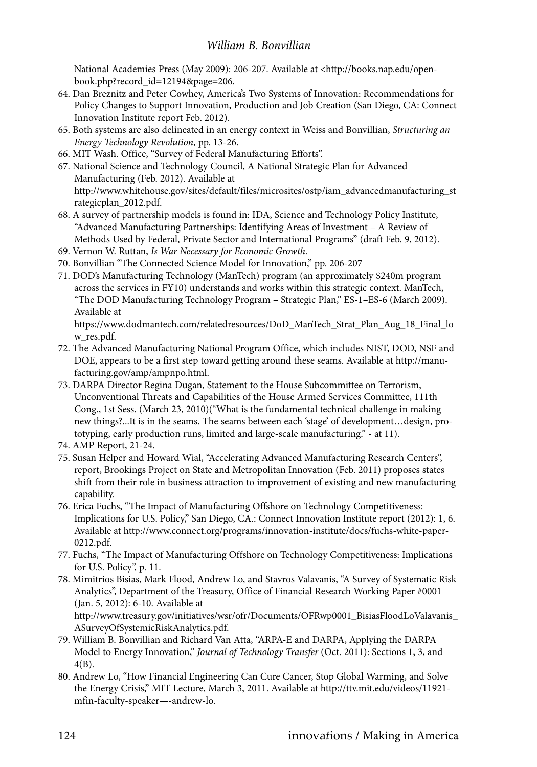National Academies Press (May 2009): 206-207. Available at <http://books.nap.edu/openbook.php?record\_id=12194&page=206.

- 64. Dan Breznitz and Peter Cowhey, America's Two Systems of Innovation: Recommendations for Policy Changes to Support Innovation, Production and Job Creation (San Diego, CA: Connect Innovation Institute report Feb. 2012).
- 65. Both systems are also delineated in an energy context in Weiss and Bonvillian, *Structuring an Energy Technology Revolution*, pp. 13-26.
- 66. MIT Wash. Office, "Survey of Federal Manufacturing Efforts".
- 67. National Science and Technology Council, A National Strategic Plan for Advanced Manufacturing (Feb. 2012). Available at http://www.whitehouse.gov/sites/default/files/microsites/ostp/iam\_advancedmanufacturing\_st rategicplan\_2012.pdf.
- 68. A survey of partnership models is found in: IDA, Science and Technology Policy Institute, "Advanced Manufacturing Partnerships: Identifying Areas of Investment – A Review of Methods Used by Federal, Private Sector and International Programs" (draft Feb. 9, 2012).
- 69. Vernon W. Ruttan, *Is War Necessary for Economic Growth*.
- 70. Bonvillian "The Connected Science Model for Innovation," pp. 206-207
- 71. DOD's Manufacturing Technology (ManTech) program (an approximately \$240m program across the services in FY10) understands and works within this strategic context. ManTech, "The DOD Manufacturing Technology Program – Strategic Plan," ES-1–ES-6 (March 2009). Available at

https://www.dodmantech.com/relatedresources/DoD\_ManTech\_Strat\_Plan\_Aug\_18\_Final\_lo w\_res.pdf.

- 72. The Advanced Manufacturing National Program Office, which includes NIST, DOD, NSF and DOE, appears to be a first step toward getting around these seams. Available at http://manufacturing.gov/amp/ampnpo.html.
- 73. DARPA Director Regina Dugan, Statement to the House Subcommittee on Terrorism, Unconventional Threats and Capabilities of the House Armed Services Committee, 111th Cong., 1st Sess. (March 23, 2010)("What is the fundamental technical challenge in making new things?...It is in the seams. The seams between each 'stage' of development…design, prototyping, early production runs, limited and large-scale manufacturing." - at 11).
- 74. AMP Report, 21-24.
- 75. Susan Helper and Howard Wial, "Accelerating Advanced Manufacturing Research Centers", report, Brookings Project on State and Metropolitan Innovation (Feb. 2011) proposes states shift from their role in business attraction to improvement of existing and new manufacturing capability.
- 76. Erica Fuchs, "The Impact of Manufacturing Offshore on Technology Competitiveness: Implications for U.S. Policy," San Diego, CA.: Connect Innovation Institute report (2012): 1, 6. Available at http://www.connect.org/programs/innovation-institute/docs/fuchs-white-paper-0212.pdf.
- 77. Fuchs, "The Impact of Manufacturing Offshore on Technology Competitiveness: Implications for U.S. Policy", p. 11.
- 78. Mimitrios Bisias, Mark Flood, Andrew Lo, and Stavros Valavanis, "A Survey of Systematic Risk Analytics", Department of the Treasury, Office of Financial Research Working Paper #0001 (Jan. 5, 2012): 6-10. Available at

http://www.treasury.gov/initiatives/wsr/ofr/Documents/OFRwp0001\_BisiasFloodLoValavanis\_ ASurveyOfSystemicRiskAnalytics.pdf.

- 79. William B. Bonvillian and Richard Van Atta, "ARPA-E and DARPA, Applying the DARPA Model to Energy Innovation," *Journal of Technology Transfer* (Oct. 2011): Sections 1, 3, and 4(B).
- 80. Andrew Lo, "How Financial Engineering Can Cure Cancer, Stop Global Warming, and Solve the Energy Crisis," MIT Lecture, March 3, 2011. Available at http://ttv.mit.edu/videos/11921 mfin-faculty-speaker—-andrew-lo.